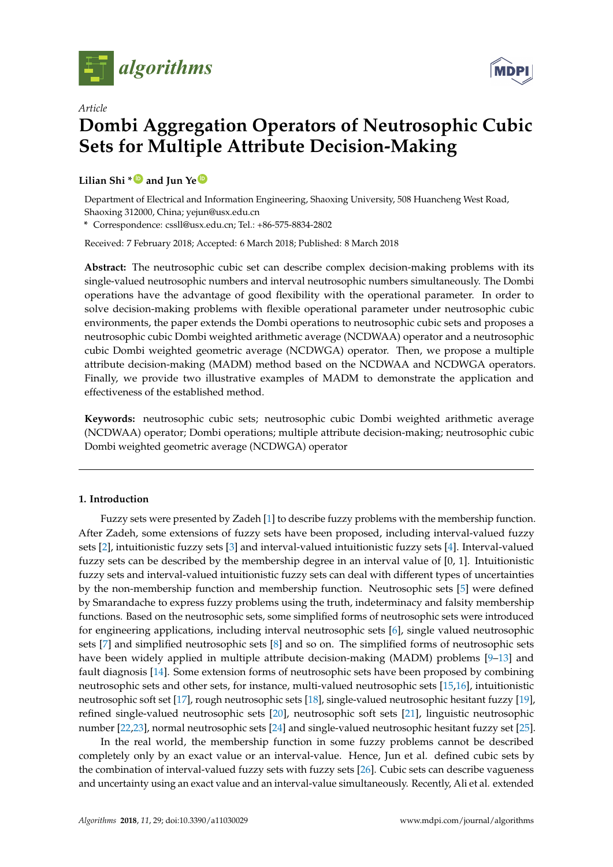



# *Article* **Dombi Aggregation Operators of Neutrosophic Cubic Sets for Multiple Attribute Decision-Making**

## **Lilian Shi \* [ID](https://orcid.org/0000-0001-6262-6947) and Jun Ye [ID](https://orcid.org/0000-0003-2841-6529)**

Department of Electrical and Information Engineering, Shaoxing University, 508 Huancheng West Road, Shaoxing 312000, China; yejun@usx.edu.cn

**\*** Correspondence: cssll@usx.edu.cn; Tel.: +86-575-8834-2802

Received: 7 February 2018; Accepted: 6 March 2018; Published: 8 March 2018

**Abstract:** The neutrosophic cubic set can describe complex decision-making problems with its single-valued neutrosophic numbers and interval neutrosophic numbers simultaneously. The Dombi operations have the advantage of good flexibility with the operational parameter. In order to solve decision-making problems with flexible operational parameter under neutrosophic cubic environments, the paper extends the Dombi operations to neutrosophic cubic sets and proposes a neutrosophic cubic Dombi weighted arithmetic average (NCDWAA) operator and a neutrosophic cubic Dombi weighted geometric average (NCDWGA) operator. Then, we propose a multiple attribute decision-making (MADM) method based on the NCDWAA and NCDWGA operators. Finally, we provide two illustrative examples of MADM to demonstrate the application and effectiveness of the established method.

**Keywords:** neutrosophic cubic sets; neutrosophic cubic Dombi weighted arithmetic average (NCDWAA) operator; Dombi operations; multiple attribute decision-making; neutrosophic cubic Dombi weighted geometric average (NCDWGA) operator

## **1. Introduction**

Fuzzy sets were presented by Zadeh [\[1\]](#page-12-0) to describe fuzzy problems with the membership function. After Zadeh, some extensions of fuzzy sets have been proposed, including interval-valued fuzzy sets [\[2\]](#page-12-1), intuitionistic fuzzy sets [\[3\]](#page-12-2) and interval-valued intuitionistic fuzzy sets [\[4\]](#page-12-3). Interval-valued fuzzy sets can be described by the membership degree in an interval value of [0, 1]. Intuitionistic fuzzy sets and interval-valued intuitionistic fuzzy sets can deal with different types of uncertainties by the non-membership function and membership function. Neutrosophic sets [\[5\]](#page-12-4) were defined by Smarandache to express fuzzy problems using the truth, indeterminacy and falsity membership functions. Based on the neutrosophic sets, some simplified forms of neutrosophic sets were introduced for engineering applications, including interval neutrosophic sets [\[6\]](#page-12-5), single valued neutrosophic sets [\[7\]](#page-12-6) and simplified neutrosophic sets [\[8\]](#page-13-0) and so on. The simplified forms of neutrosophic sets have been widely applied in multiple attribute decision-making (MADM) problems [\[9](#page-13-1)[–13\]](#page-13-2) and fault diagnosis [\[14\]](#page-13-3). Some extension forms of neutrosophic sets have been proposed by combining neutrosophic sets and other sets, for instance, multi-valued neutrosophic sets [\[15](#page-13-4)[,16\]](#page-13-5), intuitionistic neutrosophic soft set [\[17\]](#page-13-6), rough neutrosophic sets [\[18\]](#page-13-7), single-valued neutrosophic hesitant fuzzy [\[19\]](#page-13-8), refined single-valued neutrosophic sets [\[20\]](#page-13-9), neutrosophic soft sets [\[21\]](#page-13-10), linguistic neutrosophic number [\[22,](#page-13-11)[23\]](#page-13-12), normal neutrosophic sets [\[24\]](#page-13-13) and single-valued neutrosophic hesitant fuzzy set [\[25\]](#page-13-14).

In the real world, the membership function in some fuzzy problems cannot be described completely only by an exact value or an interval-value. Hence, Jun et al. defined cubic sets by the combination of interval-valued fuzzy sets with fuzzy sets [\[26\]](#page-13-15). Cubic sets can describe vagueness and uncertainty using an exact value and an interval-value simultaneously. Recently, Ali et al. extended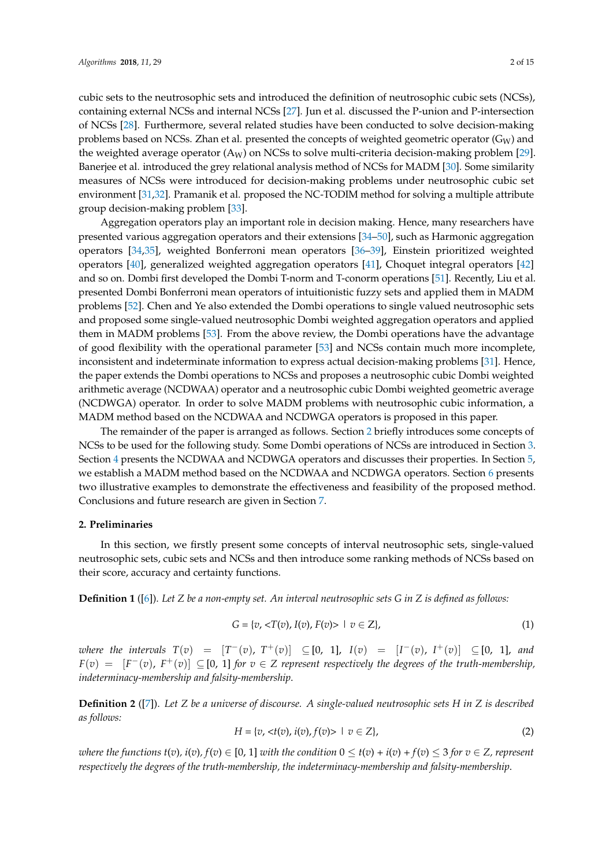cubic sets to the neutrosophic sets and introduced the definition of neutrosophic cubic sets (NCSs), containing external NCSs and internal NCSs [\[27\]](#page-13-16). Jun et al. discussed the P-union and P-intersection of NCSs [\[28\]](#page-13-17). Furthermore, several related studies have been conducted to solve decision-making problems based on NCSs. Zhan et al. presented the concepts of weighted geometric operator ( $G_W$ ) and the weighted average operator  $(A_W)$  on NCSs to solve multi-criteria decision-making problem [\[29\]](#page-13-18). Banerjee et al. introduced the grey relational analysis method of NCSs for MADM [\[30\]](#page-13-19). Some similarity measures of NCSs were introduced for decision-making problems under neutrosophic cubic set environment [\[31,](#page-13-20)[32\]](#page-13-21). Pramanik et al. proposed the NC-TODIM method for solving a multiple attribute group decision-making problem [\[33\]](#page-13-22).

Aggregation operators play an important role in decision making. Hence, many researchers have presented various aggregation operators and their extensions [\[34](#page-13-23)[–50\]](#page-14-0), such as Harmonic aggregation operators [\[34](#page-13-23)[,35\]](#page-14-1), weighted Bonferroni mean operators [\[36–](#page-14-2)[39\]](#page-14-3), Einstein prioritized weighted operators [\[40\]](#page-14-4), generalized weighted aggregation operators [\[41\]](#page-14-5), Choquet integral operators [\[42\]](#page-14-6) and so on. Dombi first developed the Dombi T-norm and T-conorm operations [\[51\]](#page-14-7). Recently, Liu et al. presented Dombi Bonferroni mean operators of intuitionistic fuzzy sets and applied them in MADM problems [\[52\]](#page-14-8). Chen and Ye also extended the Dombi operations to single valued neutrosophic sets and proposed some single-valued neutrosophic Dombi weighted aggregation operators and applied them in MADM problems [\[53\]](#page-14-9). From the above review, the Dombi operations have the advantage of good flexibility with the operational parameter [\[53\]](#page-14-9) and NCSs contain much more incomplete, inconsistent and indeterminate information to express actual decision-making problems [\[31\]](#page-13-20). Hence, the paper extends the Dombi operations to NCSs and proposes a neutrosophic cubic Dombi weighted arithmetic average (NCDWAA) operator and a neutrosophic cubic Dombi weighted geometric average (NCDWGA) operator. In order to solve MADM problems with neutrosophic cubic information, a MADM method based on the NCDWAA and NCDWGA operators is proposed in this paper.

The remainder of the paper is arranged as follows. Section [2](#page-1-0) briefly introduces some concepts of NCSs to be used for the following study. Some Dombi operations of NCSs are introduced in Section [3.](#page-3-0) Section [4](#page-4-0) presents the NCDWAA and NCDWGA operators and discusses their properties. In Section [5,](#page-8-0) we establish a MADM method based on the NCDWAA and NCDWGA operators. Section [6](#page-9-0) presents two illustrative examples to demonstrate the effectiveness and feasibility of the proposed method. Conclusions and future research are given in Section [7.](#page-12-7)

### <span id="page-1-0"></span>**2. Preliminaries**

In this section, we firstly present some concepts of interval neutrosophic sets, single-valued neutrosophic sets, cubic sets and NCSs and then introduce some ranking methods of NCSs based on their score, accuracy and certainty functions.

**Definition 1** ([\[6\]](#page-12-5)). *Let Z be a non-empty set. An interval neutrosophic sets G in Z is defined as follows:*

$$
G = \{v, \langle T(v), I(v), F(v) \rangle \mid v \in Z\},\tag{1}
$$

*where the intervals*  $T(v) = [T^-(v), T^+(v)] \subseteq [0, 1]$ ,  $I(v) = [I^-(v), I^+(v)] \subseteq [0, 1]$ , and  $F(v) = [F^-(v), F^+(v)] \subseteq [0, 1]$  *for*  $v \in Z$  represent respectively the degrees of the truth-membership, *indeterminacy-membership and falsity-membership*.

**Definition 2** ([\[7\]](#page-12-6)). *Let Z be a universe of discourse. A single-valued neutrosophic sets H in Z is described as follows:*

$$
H = \{v, < t(v), \, i(v), f(v) > \mid v \in Z\},\tag{2}
$$

*where the functions t*(*v*), *i*(*v*),  $f(v) \in [0, 1]$  *with the condition*  $0 \le t(v) + i(v) + f(v) \le 3$  *for*  $v \in Z$ , *represent respectively the degrees of the truth-membership, the indeterminacy-membership and falsity-membership*.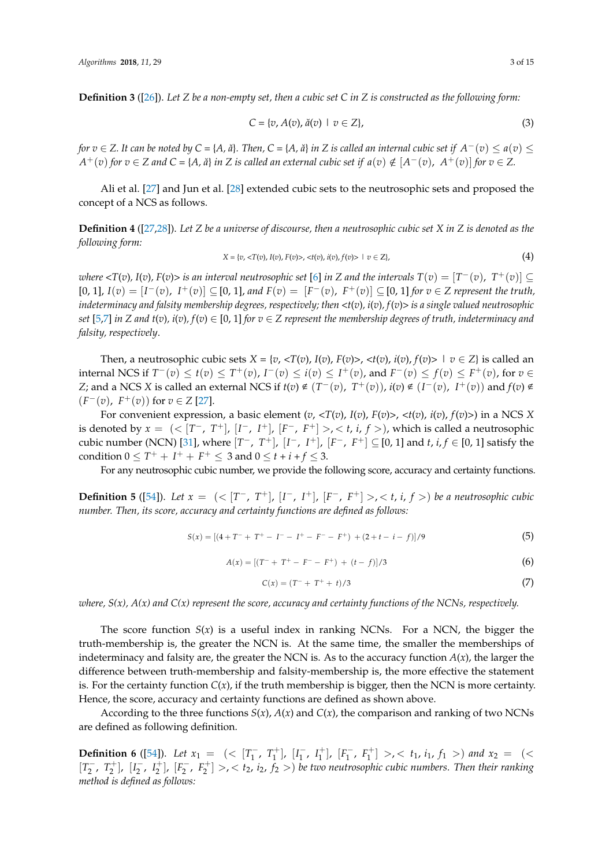**Definition 3** ([\[26\]](#page-13-15)). Let Z be a non-empty set, then a cubic set C in Z is constructed as the following form:

$$
C = \{v, A(v), \check{a}(v) \mid v \in Z\},\tag{3}
$$

for  $v \in Z$ . It can be noted by C = {A, ă}. Then, C = {A, ă} in Z is called an internal cubic set if  $A^-(v) \le a(v) \le b$  $A^+(v)$  for  $v \in Z$  and  $C = \{A, \breve{a}\}\$ in  $Z$  is called an external cubic set if  $a(v) \notin [A^-(v), A^+(v)]$  for  $v \in Z$ .

Ali et al. [\[27\]](#page-13-16) and Jun et al. [\[28\]](#page-13-17) extended cubic sets to the neutrosophic sets and proposed the concept of a NCS as follows.

> **Definition 4** ([\[27,](#page-13-16)[28\]](#page-13-17)). *Let Z be a universe of discourse, then a neutrosophic cubic set X in Z is denoted as the following form: following form: following form: X* = {*v*, <*T*(*v*), *I*(*v*), *F*(*v*)>, <*t*(*v*), *i*(*v*), *f*(*v*)> | *v* Z}, (4)

$$
X = \{v, \langle T(v), I(v), F(v) \rangle, \langle t(v), i(v), f(v) \rangle \mid v \in Z\},\tag{4}
$$

where  $\langle T(v), I(v), F(v)\rangle$  is an interval neutrosophic set [6] in Z and the intervals  $T(v) = [T^-(v), T^+(v)] \subseteq$ <br>[0, 11,  $I(v) = [I^-(v), I^+(v)] \subseteq$  [0, 11, and  $F(v) = [F^-(v), F^+(v)] \subseteq$  [0, 11, for  $v \in Z$  represent the truth [0, 1],  $I(v) = [I^-(v), I^+(v)] \subseteq [0, 1]$ , and  $F(v) = [F^-(v), F^+(v)] \subseteq [0, 1]$  for  $v \in Z$  represent the truth, indeterminacy and falsity membership degrees, respectively; then <t(v), i(v), f(v)> is a single valued neutrosophic set [\[5](#page-12-4)[,7\]](#page-12-6) in Z and t(v),  $i(v)$ ,  $f(v) \in [0, 1]$  for  $v \in Z$  represent the membership degrees of truth, indeterminacy and *falsity, respectively*. *degrees of truth, indeterminacy and falsity, respectively. degrees of truth, indeterminacy and falsity, respectively.*  $\frac{1}{2}$  $\equiv$ *degrees of truth, indeterminacy and falsity, respectively.*

Then, a neutrosophic cubic sets  $X = \{v, \langle T(v), I(v), F(v) \rangle, \langle t(v), i(v), f(v) \rangle \mid v \in Z\}$  is called an internal NCS if  $T^-(v) \le t(v) \le T^+(v)$ ,  $I^-(v) \le i(v) \le I^+(v)$ , and  $F^-(v) \le f(v) \le F^+(v)$ , for  $v \in$ Z; and a NCS X is called an external NCS if  $t(v) \notin (T^-(v), T^+(v)), i(v) \notin (I^-(v), I^+(v))$  and  $f(v) \notin$  $(F^-(v), F^+(v))$  for  $v \in Z$  [\[27\]](#page-13-16).

For convenient expression, a basic element  $(v, \langle T(v), I(v), F(v) \rangle, \langle t(v), i(v), f(v) \rangle)$  in a NCS X For convenient expression, a basic element  $(v, \langle T(v), I(v), F(v) \rangle, \langle t(v), i(v), f(v) \rangle)$  in a NCS X<br>is denoted by  $x = (\langle [T^-, T^+], [I^-, I^+], [F^-, F^+] \rangle, \langle t, i, f \rangle)$ , which is called a neutrosophic<br>cybia number (NCN) [21] where  $[T^-, T^+]$ ,  $[I^-, I$ condition  $0 \le T^+ + I^+ + F^+ \le 3$  and  $0 \le t + i + f \le 3$ . cubic number (NCN) [31], where  $[T^-, T^+]$ ,  $[I^-, I^+]$ ,  $[F^-, F^+] \subseteq [0, 1]$  and  $t, i, f \in [0, 1]$  satisfy the condition  $0 \leq T^+ + I^+ + F^+ \leq 3$  and  $0 \leq t + i + f \leq 3$  $\frac{d}{dx}$ 

For any neutrosophic cubic number, we provide the following score, accuracy and certainty functions.

number. Then, its score, accuracy and certainty functions are defined as follows: **Definition 5** ([\[54\]](#page-14-10)). Let  $x = \left( \langle T^{-}, T^{+} \rangle, [I^{-}, I^{+}], [F^{-}, F^{+}] \rangle, \langle t, i, f \rangle \right)$  be a neutrosophic cubic  $\psi$  =  $\psi$  +  $\psi$  +  $\psi$  +  $\psi$  +  $\psi$  +  $\psi$  +  $\psi$  +  $\psi$  +  $\psi$  +  $\psi$  +  $\psi$  +  $\psi$  +  $\psi$  +  $\psi$  +  $\psi$  +  $\psi$  +  $\psi$  +  $\psi$  +  $\psi$  +  $\psi$  +  $\psi$  +  $\psi$  +  $\psi$  +  $\psi$  +  $\psi$  +  $\psi$  +  $\psi$  +  $\psi$  +  $\psi$  +  $\psi$  +  $\psi$  $\int$  and as follows:

$$
S(x) = [(4 + T^{-} + T^{+} - I^{-} - I^{+} - F^{-} - F^{+}) + (2 + t - i - f)]/9
$$
\n(5)

$$
S(x) = [(4+T + T^2 - T^2 - T^2 - F^2 + (2+t-1-T)]/9
$$
\n
$$
A(x) = [(T^2 + T^2 - F^2 - F^2) + (t-f)]/3
$$
\n(6)

$$
C(x) = (T^- + T^+ + t)/3
$$
 (7)

where,  $S(x)$ ,  $A(x)$  and  $C(x)$  represent the score, accuracy and certainty functions of the NCNs, respectively.

The score function  $S(x)$  is a useful index in ranking NCNs. For a NCN, the bigger the indeterminacy and falsity are, the greater the NCN is. As to the accuracy function  $A(x)$ , the larger the difference between truth-membership and falsity-membership is, the more effective the statement is. For the certainty function  $C(x)$ , if the truth membership is bigger, then the NCN is more certainty. Hence, the score, accuracy and certainty functions are defined as shown above. truth-membership is, the greater the NCN is. At the same time, the smaller the memberships of

According to the three functions  $S(x)$ ,  $A(x)$  and  $C(x)$ , the comparison and ranking of two NCNs are defined as following definition.  $\frac{1}{\pi}$  more certainty. Hence, accuracy and certainty functions are defined as shown above.

**Definition 6** ([\[54\]](#page-14-10)). *Let*  $x_1 = \left( \langle T_1, T_1^+ \rangle, [I_1^-, I_1^+] \rangle, [F_1^-, F_1^+] \right)$  $\left[T_1^+,(T_1^+), [I_1^-,(T_1^+)]\right]$  $\begin{bmatrix} 1 \\ 1 \end{bmatrix}, \begin{bmatrix} I_1^+ \\ I_1 \end{bmatrix}, \begin{bmatrix} F_1^- \\ F_1^- \end{bmatrix}$  $[t_1^-, F_1^+] > \, < t_1, i_1, f_1 > \,$  and  $x_2 = \,$  (<  $[T_2^-$ ,  $T_2^+$ ],  $[I_2^-$ ,  $I_2^+$ ],  $[F_2^-$ ,  $F_2^+$ ] >, <  $t_2$ ,  $i_2$ ,  $j_2$  >) *be two neutrosophic cubic numbers. Then their ranking method is defined as follows:*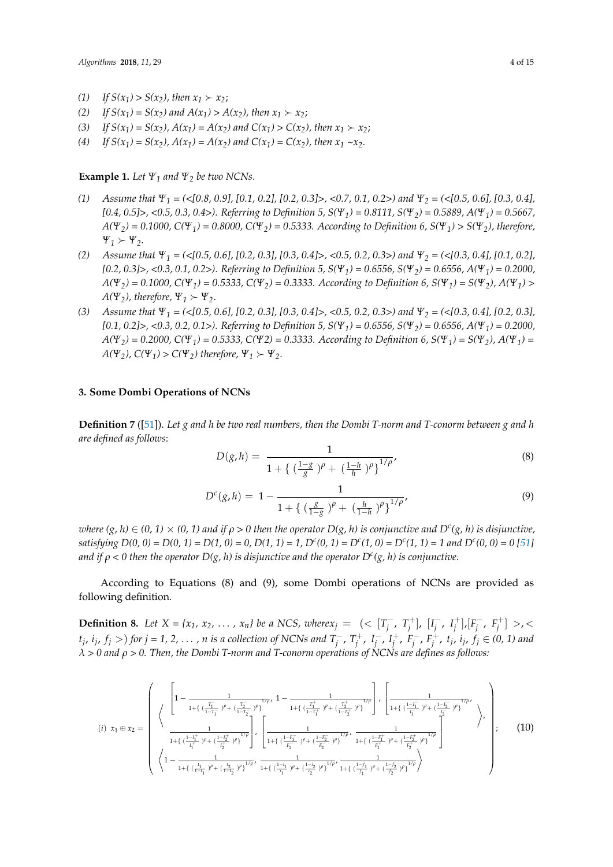- (1) If  $S(x_1) > S(x_2)$ , then  $x_1 \succ x_2$ ;
- (2) If  $S(x_1) = S(x_2)$  and  $A(x_1) > A(x_2)$ , then  $x_1 \succ x_2$ ;
- (3) *If*  $S(x_1) = S(x_2)$ ,  $A(x_1) = A(x_2)$  and  $C(x_1) > C(x_2)$ , then  $x_1 \succ x_2$ ;
- (4) If  $S(x_1) = S(x_2)$ ,  $A(x_1) = A(x_2)$  and  $C(x_1) = C(x_2)$ , then  $x_1 \sim x_2$ .

**Example 1.** *Let*  $\Psi_1$  *and*  $\Psi_2$  *be two NCNs.* 

- *(1) Assume that Ψ<sup>1</sup> = (<[0.8, 0.9], [0.1, 0.2], [0.2, 0.3]>, <0.7, 0.1, 0.2>) and Ψ<sup>2</sup> = (<[0.5, 0.6], [0.3, 0.4], [0.4, 0.5]>, <0.5, 0.3, 0.4>). Referring to Definition 5, S(Ψ1) = 0.8111, S(Ψ2) = 0.5889, A(Ψ1) = 0.5667, A(Ψ2) = 0.1000, C(Ψ1) = 0.8000, C(Ψ2) = 0.5333. According to Definition 6, S(Ψ1) > S(Ψ2), therefore,*  $\Psi_1 \succ \Psi_2$ .
- *(2) Assume that Ψ<sup>1</sup> = (<[0.5, 0.6], [0.2, 0.3], [0.3, 0.4]>, <0.5, 0.2, 0.3>) and Ψ<sup>2</sup> = (<[0.3, 0.4], [0.1, 0.2], [0.2, 0.3]>, <0.3, 0.1, 0.2>). Referring to Definition 5, S(Ψ1) = 0.6556, S(Ψ2) = 0.6556, A(Ψ1) = 0.2000,*  $A(\Psi_2) = 0.1000$ ,  $C(\Psi_1) = 0.5333$ ,  $C(\Psi_2) = 0.3333$ . According to Definition 6,  $S(\Psi_1) = S(\Psi_2)$ ,  $A(\Psi_1) >$ *A*( $\Psi$ <sub>2</sub>), therefore,  $\Psi$ <sub>1</sub>  $\succ$   $\Psi$ <sub>2</sub>.
- *(3) Assume that Ψ<sup>1</sup> = (<[0.5, 0.6], [0.2, 0.3], [0.3, 0.4]>, <0.5, 0.2, 0.3>) and Ψ<sup>2</sup> = (<[0.3, 0.4], [0.2, 0.3], [0.1, 0.2]>, <0.3, 0.2, 0.1>). Referring to Definition 5, S(Ψ1) = 0.6556, S(Ψ2) = 0.6556, A(Ψ1) = 0.2000, A(Ψ2) = 0.2000, C(Ψ1) = 0.5333, C(Ψ2) = 0.3333. According to Definition 6, S(Ψ1) = S(Ψ2), A(Ψ1) =*  $A(\Psi_2)$ ,  $C(\Psi_1) > C(\Psi_2)$  therefore,  $\Psi_1 \succ \Psi_2$ .

#### <span id="page-3-0"></span>**3. Some Dombi Operations of NCNs**

**Definition 7** ([\[51\]](#page-14-7)). *Let g and h be two real numbers, then the Dombi T-norm and T-conorm between g and h are defined as follows*:

$$
D(g, h) = \frac{1}{1 + \left\{ \left( \frac{1 - g}{g} \right)^{\rho} + \left( \frac{1 - h}{h} \right)^{\rho} \right\}^{1/\rho'}}
$$
\n(8)

$$
D^{c}(g,h) = 1 - \frac{1}{1 + \left\{ \left( \frac{g}{1 - g} \right)^{\rho} + \left( \frac{h}{1 - h} \right)^{\rho} \right\}^{1/\rho}},\tag{9}
$$

 $\omega$ here (g, h)  $\in$  (0, 1)  $\times$  (0, 1) and if  $\rho$  > 0 then the operator D(g, h) is conjunctive and D<sup>c</sup>(g, h) is disjunctive, *satisfying*  $D(0, 0) = D(0, 1) = D(1, 0) = 0$ ,  $D(1, 1) = 1$ ,  $D<sup>c</sup>(0, 1) = D<sup>c</sup>(1, 0) = D<sup>c</sup>(1, 1) = 1$  and  $D<sup>c</sup>(0, 0) = 0$  [\[51\]](#page-14-7) *and if ρ < 0 then the operator D(g, h) is disjunctive and the operator D<sup>c</sup> (g, h) is conjunctive*.

According to Equations (8) and (9), some Dombi operations of NCNs are provided as following definition.

**Definition 8.** Let  $X = \{x_1, x_2, \ldots, x_n\}$  be a NCS, where  $x_j = \{z \mid T_j^{-1}\}$  $\left[T_{j}^{-}, T_{j}^{+}\right], \left[I_{j}^{-}\right]$  $\frac{1}{j}$ ,  $I_j^+$ ,  $[F_j^ F_j^-$ ,  $F_j^+$ ] >,<  $(t_j, i_j, f_j >)$  for  $j = 1, 2, \ldots, n$  is a collection of NCNs and  $T_j^ T_j^+$ ,  $T_j^+$ ,  $I_j^ \bar{i}$ ,  $I_i^+$ ,  $F_i^$ *j* , *F* + *j* , *t<sup>j</sup>* , *ij* , *f<sup>j</sup>* ∈ *(0, 1) and λ > 0 and ρ > 0. Then, the Dombi T-norm and T-conorm operations of NCNs are defines as follows:*

$$
(i) \ x_1 \oplus x_2 = \begin{pmatrix} \left\{ 1 - \frac{1}{1 + \left\{ \left( \frac{T_1}{1 - T_1} \right)^{\rho} + \left( \frac{T_2}{1 - T_2} \right)^{\rho} \right\}^{1/\rho}, \ 1 - \frac{1}{1 + \left\{ \left( \frac{T_1^+}{1 - T_1^+} \right)^{\rho} + \left( \frac{T_2^+}{1 - T_2^+} \right)^{\rho} \right\}} \right\} , \ \left[ \frac{1}{1 + \left\{ \left( \frac{1 - T_1^-}{T_1} \right)^{\rho} + \left( \frac{1 - T_2^-}{T_2} \right)^{\rho} \right\}^{1/\rho}} \right\} , \\ \frac{1}{1 + \left\{ \left( \frac{1 - T_1^+}{T_1^+} \right)^{\rho} + \left( \frac{1 - T_2^+}{T_2^+} \right)^{\rho} \right\}^{1/\rho}} \right\} , \ \left[ \frac{1}{1 + \left\{ \left( \frac{1 - F_1^-}{F_1^-} \right)^{\rho} + \left( \frac{1 - F_2^-}{F_2^-} \right)^{\rho} \right\}^{1/\rho}} \frac{1}{1 + \left\{ \left( \frac{1 - F_1^+}{F_1^+} \right)^{\rho} + \left( \frac{1 - F_1^+}{F_2^+} \right)^{\rho} \right\}^{1/\rho}} \right\} , \qquad (10)
$$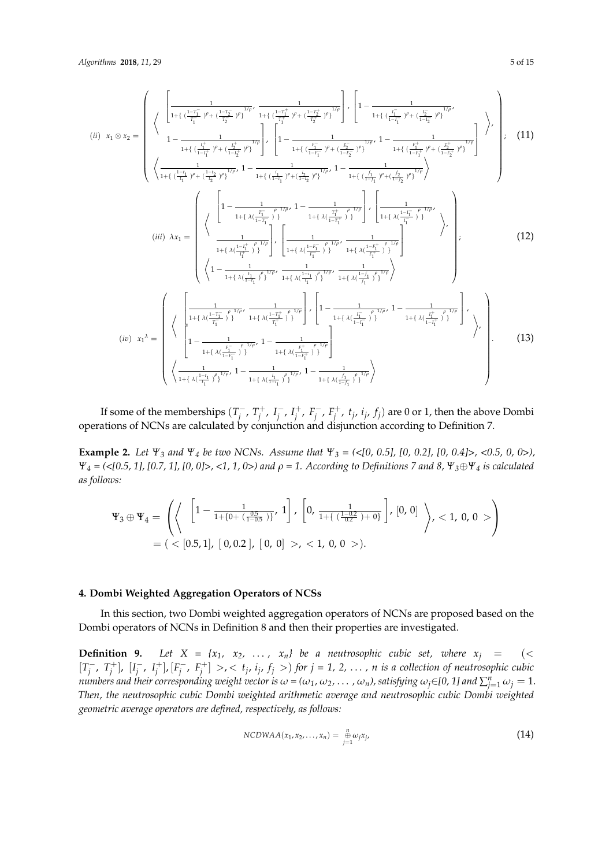$$
(ii) \ x_1 \otimes x_2 = \begin{pmatrix} \frac{1}{1 + \left(\frac{1 - T_1^-}{T_1^-} y + \frac{1 - T_2^-}{T_2^-} y\right)^{1/p}} \frac{1}{1 + \left(\frac{1 - T_1^+}{T_1^+} y + \frac{1 - T_2^+}{T_2^+} y\right)^{1/p}} \right), \ \frac{1}{1 - \frac{1}{1 + \left(\frac{1}{1 - T_1^-} y + \frac{1 - T_2^-}{T_2^+} y\right)^{1/p}} \left\{ 1 - \frac{1}{1 + \left(\frac{1}{1 - T_1^-} y + \frac{1 - T_2^-}{T_2^+} y\right)^{1/p}} \right\} \cdot \left[ 1 - \frac{1}{1 + \left(\frac{1 - T_1^-}{T_1^-} y + \frac{1 - T_2^-}{T_2^+} y\right)^{1/p}} \right] \right\}, \ (11) \n\left\langle \frac{1}{1 + \left(\frac{1 - T_1^-}{T_1} y + \frac{1 - T_2^-}{T_2^+} y\right)^{1/p}} \right. \ 1 - \frac{1}{1 + \left(\frac{1}{1 - T_1^-} y + \frac{1 - T_2^-}{T_2^+} y\right)^{1/p}} \right. \ 1 - \frac{1}{1 + \left(\frac{1}{1 - T_1^-} y + \frac{1 - T_2^-}{T_2^+} y\right)^{1/p}} \right) \end{pmatrix}, \ (11) \n(iii) \ \lambda x_1 = \begin{pmatrix} \left[ 1 - \frac{1}{1 + \left(\lambda \left(\frac{1 - T_1^-}{T_1^-} y\right)^{1/p}} \right] \left[ 1 - \frac{1}{1 + \left(\lambda \left(\frac{1 - T_1^-}{T_1^-} y\right)^{1/p}} \right] \left[ \frac{1}{1 + \left(\lambda \left(\frac{1 - T_1^+}{T_1^-} y\right)^{1/p}} \right)^{1/p} \right] \right] \cdot \left[ \frac{1}{1 + \left(\lambda \left(\frac{1 - T_1^+}{T_1^-} y\right)^{1/p}} \right] \cdot \left[ \frac{1}{1 + \left(\lambda \left(\frac{1 - T_1^+}{T_1^-} y\right)^{1/p}} \right)^{1/p} \right] \cdot \left[ \frac{1}{1 + \
$$

If some of the memberships  $(T_i^-)$  $T_j^+$ ,  $T_j^+$ ,  $I_j^ \overline{I}_j^-$ ,  $I_j^+$ ,  $F_j^$  $j^-, F_j^+, t_j, i_j, f_j)$  are 0 or 1, then the above Dombi operations of NCNs are calculated by conjunction and disjunction according to Definition 7.

**Example 2.** *Let*  $\Psi_3$  *and*  $\Psi_4$  *be two NCNs. Assume that*  $\Psi_3 = \langle \langle 0, 0.5 \rangle, [0, 0.2], [0, 0.4] \rangle, \langle 0.5, 0, 0 \rangle$ , *Ψ<sup>4</sup> = (<[0.5, 1], [0.7, 1], [0, 0]>, <1, 1, 0>) and ρ = 1. According to Definitions 7 and 8, Ψ3*⊕*Ψ<sup>4</sup> is calculated as follows:*

$$
\Psi_3 \oplus \Psi_4 = \left( \left\langle \begin{array}{c} \left[1 - \frac{1}{1 + \{0 + \left(\frac{0.5}{1 - 0.5}\right)\}} , 1\right], \left[0, \frac{1}{1 + \left\{\left(\frac{1 - 0.2}{0.2}\right) + 0\right\}}\right], [0, 0] \\ = \left( \langle [0.5, 1], [0, 0.2], [0, 0] \rangle, \langle 1, 0, 0 \rangle \right). \end{array} \right)
$$

## <span id="page-4-0"></span>**4. Dombi Weighted Aggregation Operators of NCSs**

In this section, two Dombi weighted aggregation operators of NCNs are proposed based on the Dombi operators of NCNs in Definition 8 and then their properties are investigated.

**Definition 9.** Let  $X = \{x_1, x_2, \ldots, x_n\}$  be a neutrosophic cubic set, where  $x_j = \langle x_j \rangle$  $[T_i^-]$  $\left[T_{j}^{-}, T_{j}^{+}\right], \left[I_{j}^{-}\right]$  $\frac{1}{j}$ ,  $I_j^+$ ],  $[F_j^$  $j^-, F_j^+$  *>, < t<sub>j</sub>, i<sub>j</sub>, f<sub>j</sub> >) for*  $j = 1, 2, ..., n$  *is a collection of neutrosophic cubic* numbers and their corresponding weight vector is  $\omega$  = ( $\omega_1$ ,  $\omega_2$ ,  $\ldots$  ,  $\omega_n$ ), satisfying  $\omega_j$ ∈[0, 1] and  $\sum_{j=1}^n\omega_j=1$ . *Then, the neutrosophic cubic Dombi weighted arithmetic average and neutrosophic cubic Dombi weighted geometric average operators are defined, respectively, as follows:*

$$
NCDWAA(x_1,x_2,\ldots,x_n)=\underset{j=1}{\overset{n}{\oplus}}\omega_jx_j,
$$
\n(14)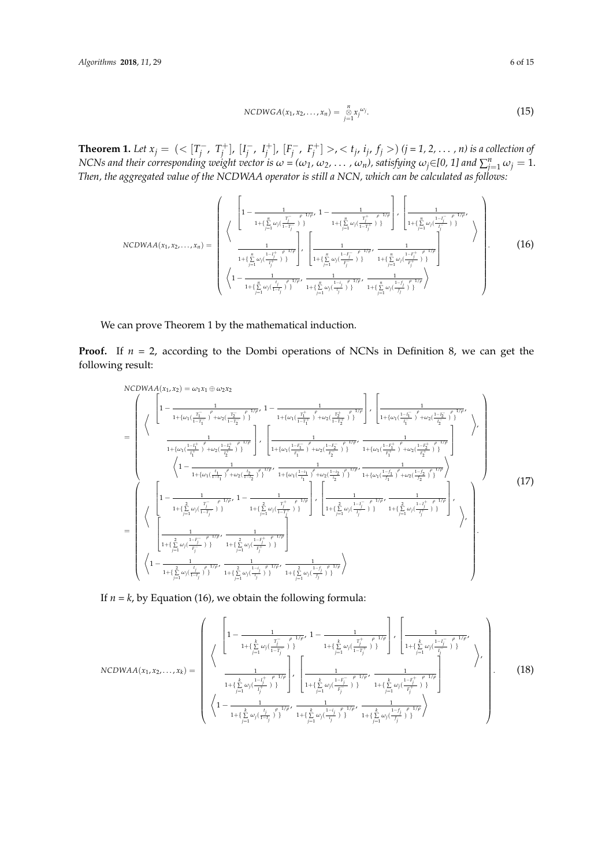NCDWGA(
$$
x_1, x_2, ..., x_n
$$
) =  $\sum_{j=1}^{n} x_j^{\omega_j}$ . (15)

**Theorem 1.** *Let*  $x_j = \left( \frac{\sum_{i=1}^{n} x_i}{T_i} \right)$  $\left[T_{j}^{-}, T_{j}^{+}\right], \left[I_{j}^{-}\right]$  $\left[ \begin{matrix} - & 1 \\ j & \end{matrix} \right], \left[ \begin{matrix} F_j^- \\ F_j^- \end{matrix} \right]$  $j^-, F_j^+$   $>$ ,  $<$   $t_j$ ,  $i_j$ ,  $f_j$   $>$   $)$   $(j = 1, 2, ..., n)$  is a collection of NCNs and their corresponding weight vector is  $\omega$  = ( $\omega_1$ ,  $\omega_2$ ,  $\ldots$  ,  $\omega_n$ ), satisfying  $\omega_j$ ∈[0, 1] and  $\sum_{j=1}^n\omega_j=1.$ *Then, the aggregated value of the NCDWAA operator is still a NCN, which can be calculated as follows:*

$$
NCDWAA(x_1, x_2,..., x_n) = \begin{pmatrix} \begin{pmatrix} \frac{1}{1 - \frac{1}{1 + (\sum\limits_{j=1}^n \omega_j (\frac{T_j^+}{1 - T_j^-})^2)} \rho^{-1/\rho} \cdot 1 - \frac{1}{1 + (\sum\limits_{j=1}^n \omega_j (\frac{T_j^+}{1 - T_j^+})^2)} \end{pmatrix} \cdot \begin{pmatrix} \frac{1}{1 + (\sum\limits_{j=1}^n \omega_j (\frac{1 - I_j^-}{1 - T_j^-})^2)} \rho^{-1/\rho} \cdot \frac{1}{1 + (\sum\limits_{j=1}^n \omega_j (\frac{1 - I_j^-}{1 - T_j^-})^2)} \end{pmatrix} \\ \frac{1}{1 + (\sum\limits_{j=1}^n \omega_j (\frac{1 - I_j^+}{1 - T_j^-})^2)} \begin{pmatrix} \frac{1}{1 + (\sum\limits_{j=1}^n \omega_j (\frac{1 - I_j^-}{1 - T_j^-})^2)} \cdot \frac{1}{1 + (\sum\limits_{j=1}^n \omega_j (\frac{1 - I_j^+}{1 - T_j^-})^2)} \end{pmatrix} \\ \begin{pmatrix} 1 - \frac{1}{1 + (\sum\limits_{j=1}^n \omega_j (\frac{1 - I_j^-}{1 - T_j^-})^2)^{1/\rho}} \cdot \frac{1}{1 + (\sum\limits_{j=1}^n \omega_j (\frac{1 - I_j^-}{1 - T_j^-})^2)^{1/\rho}} \cdot \frac{1}{1 + (\sum\limits_{j=1}^n \omega_j (\frac{1 - I_j^-}{1 - T_j^-})^2)^{1/\rho}} \end{pmatrix} \end{pmatrix} .
$$
(16)

We can prove Theorem 1 by the mathematical induction.

**Proof.** If  $n = 2$ , according to the Dombi operations of NCNs in Definition 8, we can get the following result:

$$
\begin{split} &\text{NCDWA}(A_{(1)},x_{2}) = \omega_{1}x_{1} \oplus \omega_{2}x_{2} \\ &= \left(\sqrt{\frac{1-\frac{1}{1+\{\omega_{1}(\frac{T_{1}^{-}}{1-T_{1}^{-}})^{\beta}+\omega_{2}(\frac{T_{2}^{-}}{1-T_{2}^{-}})^{\beta}\}^{1/\rho}}{1+\{\omega_{1}(\frac{T_{1}^{+}}{1-T_{1}^{+}})^{\beta}+\omega_{2}(\frac{T_{2}^{+}}{1-T_{2}^{+}})^{\beta}\}^{1/\rho}}}\right), \left[\frac{1}{1+\{\omega_{1}(\frac{1-I_{1}^{-}}{1-T_{1}^{-}})^{\beta}+\omega_{2}(\frac{1-I_{2}^{-}}{1-T_{2}^{-}})^{\beta}\}^{1/\rho}}\right), \\ &\frac{1}{1+\{\omega_{1}(\frac{1-I_{1}^{+}}{1-T_{1}^{-}})^{\beta}+\omega_{2}(\frac{1-I_{2}^{+}}{1-T_{2}^{-}})^{\beta}\}^{1/\rho}}\right), \left[\frac{1}{1+\{\omega_{1}(\frac{1-I_{1}^{-}}{1-T_{1}^{-}})^{\beta}+\omega_{2}(\frac{1-I_{2}^{-}}{1-T_{2}^{-}})^{\beta}\}^{1/\rho}}\frac{1}{1+\{\omega_{1}(\frac{1-I_{1}^{+}}{1-T_{1}^{+}})^{\beta}+\omega_{2}(\frac{1-I_{2}^{-}}{1-T_{2}^{-}})^{\beta}\}^{1/\rho}}\right) \\ &\left(1-\frac{1}{1+\{\frac{\beta_{1}}{1+\{\omega_{1}(\frac{1}{1-T_{1}^{-}})^{\beta}+\omega_{2}(\frac{1-I_{2}}{1-T_{2}^{-}})^{\beta}\}^{1/\rho}}}\frac{1}{1+\{\omega_{1}(\frac{1-I_{1}}{1-T_{1}^{-}})^{\beta}+\omega_{2}(\frac{1-I_{2}}{1-T_{1}^{-}})^{\beta}+\omega_{2}(\frac{1-I_{2}^{-}}{1-T_{2}^{-}})^{\beta}\}^{1/\rho}}\right) \\ &\left[\frac{1}{1+\{\frac{\beta_{1}}{1+\{\frac{\beta_{1}}{1-\beta}(\frac{1-I_{1}^{-}}{1-T_{1}^{-}})^{\beta}\}^{1/\rho}}}\frac{1}{1+\{\frac{\beta_{1}}{1-\{\beta_{1}(\frac{1-I_{1}^{-}}{1-T_{1}^{-}})^{\beta}\}^{1/\rho}}}{1+\{\frac{\beta_{1}}{
$$

If  $n = k$ , by Equation (16), we obtain the following formula:

$$
NCDWAA(x_1, x_2, ..., x_k) = \begin{pmatrix} \begin{pmatrix} \frac{1}{1 - \frac{k}{1 + \left\{\sum_{j=1}^k \omega_j \left(\frac{T_j}{1 - T_j}\right)\right\}}^{\frac{T_j}{1 - \left\{\sum_{j=1}^k \omega_j \left(\frac{T_j}{1 - T_j^+}\right)\right\}} & \frac{1}{1 + \left\{\sum_{j=1}^k \omega_j \left(\frac{1 - T_j^-}{1 - T_j^+}\right)\right\}} \end{pmatrix} \\ \frac{1}{1 + \left\{\sum_{j=1}^k \omega_j \left(\frac{1 - T_j^+}{T_j^+}\right)\right\}} & \begin{pmatrix} \frac{1}{1 + \left\{\sum_{j=1}^k \omega_j \left(\frac{1 - T_j^-}{1 - T_j^+}\right)\right\}} & \frac{1}{1 + \left\{\sum_{j=1}^k \omega_j \left(\frac{1 - T_j^+}{1 - T_j^+}\right)\right\}} \end{pmatrix} \\ \begin{pmatrix} \frac{1}{1 - \frac{1}{1 + \left\{\sum_{j=1}^k \omega_j \left(\frac{1 - T_j^+}{1 - T_j}\right)\right\}}^{\frac{T_j}{1 - \left\{\sum_{j=1}^k \omega_j \left(\frac{1 - T_j^+}{1 - T_j^+}\right)\right\}}^{\frac{T_j}{1 - \left\{\sum_{j=1}^k \omega_j \left(\frac{1 - T_j^+}{1 - T_j^+}\right)\right\}}^{\frac{T_j}{1 - \left\{\sum_{j=1}^k \omega_j \left(\frac{1 - T_j^+}{1 - T_j^+}\right)\right\}}^{\frac{T_j}{1 - \left\{\sum_{j=1}^k \omega_j \left(\frac{1 - T_j^+}{1 - T_j^+}\right)\right\}}^{\frac{T_j}{1 - \left\{\sum_{j=1}^k \omega_j \left(\frac{1 - T_j^+}{1 - T_j^+}\right)\right\}}^{\frac{T_j}{1 - \left\{\sum_{j=1}^k \omega_j \left(\frac{1 - T_j^+}{1 - T_j^+}\right)\right\}}^{\frac{T_j}{1 - \left\{\sum_{j=1}^k \omega_j \left(\frac{1 - T_j^+}{1 - T_j^+}\right)\right\}}^{\frac{T_j}{1 - \left\{\sum_{j=1}^k \omega_j \left(\frac{1 - T_j^+}{1 - T_j^+}\right)\right\}}^{\frac{T_j}{1
$$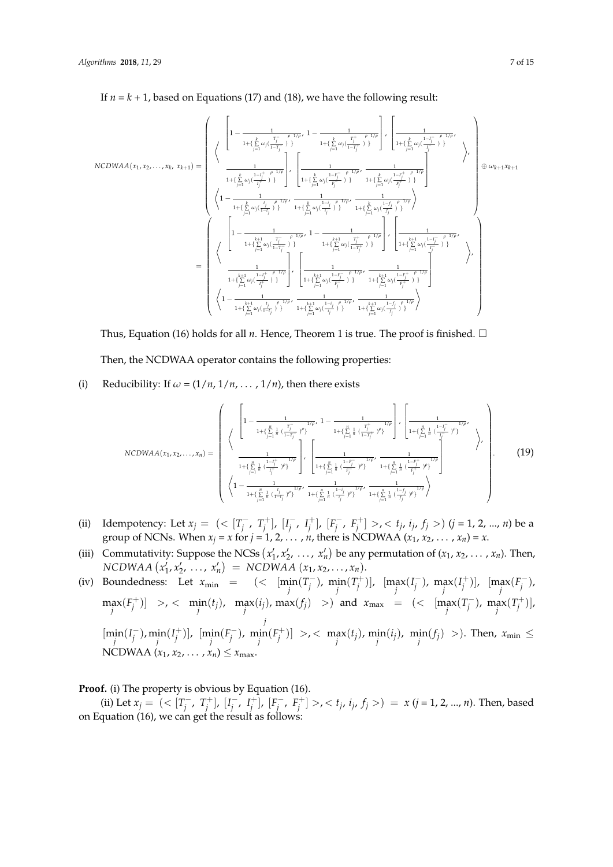$$
\text{NCDWAA}(x_1, x_2, \ldots, x_k, x_{k+1}) = \left(\begin{array}{c} \left\{\begin{array}{c} 1-\frac{1}{1+\{\sum\limits_{j=1}^{k}\omega_j(\frac{T_j^-}{1-T_j^-})\}} \end{array}\right\}, \left\{\begin{array}{c} 1-\frac{1}{1+\{\sum\limits_{j=1}^{k}\omega_j(\frac{T_j^+}{1-T_j^-})\}} \end{array}\right\}, \left\{\begin{array}{c} 1-\frac{1}{1+\{\sum\limits_{j=1}^{k}\omega_j(\frac{1-T_j^-}{1-T_j^-})\}} \end{array}\right\} \right) \right\} \\ \left\{\begin{array}{c} 1-\frac{1}{1+\{\sum\limits_{j=1}^{k}\omega_j(\frac{1-t_j^+}{T_j^-})\}} \end{array}\right\} \left\{\begin{array}{c} 1-\frac{1}{1+\{\sum\limits_{j=1}^{k}\omega_j(\frac{1-T_j^-}{T_j^-})\}} \end{array}\right\} \\ \left\{\begin{array}{c} 1-\frac{1}{1+\{\sum\limits_{j=1}^{k}\omega_j(\frac{1}{1-T_j^-})\}} \end{array}\right\} \left\{\begin{array}{c} 1-\frac{1}{1+\{\sum\limits_{j=1}^{k}\omega_j(\frac{1-T_j^-}{T_j^-})\}} \end{array}\right\} \left\{\begin{array}{c} 1-\frac{1}{1+\{\sum\limits_{j=1}^{k}\omega_j(\frac{1-T_j^+}{T_j^-})\}} \end{array}\right\} \left\{\begin{array}{c} 1-\frac{1}{1+\{\sum\limits_{j=1}^{k}\omega_j(\frac{1}{T_j^-})\}} \end{array}\right\} \left\{\begin{array}{c} 1-\frac{1}{1+\{\sum\limits_{j=1}^{k}\omega_j(\frac{1-T_j^-}{T_j^-})\}} \end{array}\right\} \left\{\begin{array}{c} 1-\frac{1}{1+\{\sum\limits_{j=1}^{k}\omega_j(\frac{1-T_j^-}{T_j^-})\}} \end{array}\right\} \left\{\begin{array}{c} 1-\frac{1}{1+\{\sum\limits_{j=1}^{k}\omega_j(\frac{1-T_j^-}{T_j^-})\}} \end{array}\right\} \right\} \left\{\begin{array}{c} 1-\frac{1}{1+\{\sum\limits_{j=1}^{k}\omega_j(\frac{1-T_j^-}{T_j^-})\}} \end{array
$$

If  $n = k + 1$ , based on Equations (17) and (18), we have the following result:

Thus, Equation (16) holds for all  $n$ . Hence, Theorem 1 is true. The proof is finished.  $\square$ 

Then, the NCDWAA operator contains the following properties:

(i) Reducibility: If  $\omega = (1/n, 1/n, \ldots, 1/n)$ , then there exists

$$
NCDWAA(x_1, x_2, ..., x_n) = \begin{pmatrix} \begin{pmatrix} \frac{1}{1 - \frac{1}{1 + (\sum_{j=1}^n \frac{1}{n} (\frac{T_j^+}{1 - T_j^+})^p)^{1/p}} - 1 - \frac{1}{1 + (\sum_{j=1}^n \frac{1}{n} (\frac{T_j^+}{1 - T_j^+})^p)^{1/p}} \end{pmatrix} \cdot \begin{pmatrix} \frac{1}{1 + (\sum_{j=1}^n \frac{1}{n} (\frac{1 - T_j^-}{1 - T_j^-})^p)^{1/p}} \\ \frac{1}{1 + (\sum_{j=1}^n \frac{1}{n} (\frac{1 - T_j^+}{1 - T_j^-})^p)^{1/p}} \end{pmatrix} \cdot \begin{pmatrix} \frac{1}{1 + (\sum_{j=1}^n \frac{1}{n} (\frac{1 - T_j^-}{1 - T_j^-})^p)^{1/p}} - \frac{1}{1 + (\sum_{j=1}^n \frac{1}{n} (\frac{1 - T_j^+}{1 - T_j^-})^p)^{1/p}} \\ \frac{1}{1 + (\sum_{j=1}^n \frac{1}{n} (\frac{1 - T_j^-}{1 - T_j^-})^p)^{1/p}} \cdot \frac{1}{1 + (\sum_{j=1}^n \frac{1}{n} (\frac{1 - T_j^+}{1 - T_j^-})^p)^{1/p}} \end{pmatrix} \end{pmatrix} .
$$
\n
$$
(19)
$$

- (ii) Idempotency: Let  $x_j = \left( \langle T_j^- \rangle \right)$  $\left[T_{j}^{-}, T_{j}^{+}\right], \left[I_{j}^{-}\right]$  $\left[ \begin{matrix} - & 1 \\ j & \end{matrix} \right], \left[ \begin{matrix} F_j^- \\ f_j \end{matrix} \right]$ *j* , *F* + *j* ] >, < *t<sup>j</sup>* , *ij* , *f<sup>j</sup>* >) (*j* = 1, 2, ..., *n*) be a group of NCNs. When  $x_j = x$  for  $j = 1, 2, ..., n$ , there is NCDWAA  $(x_1, x_2, ..., x_n) = x$ .
- (iii) Commutativity: Suppose the NCSs  $(x'_1, x'_2, \ldots, x'_n)$  be any permutation of  $(x_1, x_2, \ldots, x_n)$ . Then,  $NCDWAA (x'_1, x'_2, ..., x'_n) = NCDWAA (x_1, x_2, ..., x_n).$

(iv) Boundedness: Let 
$$
x_{\min} = (\langle \min_j(T_j^-), \min_j(T_j^+)]
$$
,  $[\max_j(I_j^-), \max_j(I_j^+)]$ ,  $[\max_j(F_j^-), \max_j(I_j^+)] > \langle \min_j(I_j), \max_j(I_j), \max_j(I_j) \rangle$  and  $x_{\max} = (\langle \max_j(T_j^-), \max_j(T_j^+)]$ ,  $\lim_j(I_j^-), \min_j(I_j^+)]$ ,  $[\min_j(I_j^-), \min_j(I_j^-)]$ ,  $\lim_j(I_j^-), \min_j(I_j^+)]$ ,  $[\min_j(I_j^-), \min_j(I_j^+)] > \langle \max_j(I_j), \min_j(I_j) \rangle$ ,  $\min_j(I_j) > \rangle$ . Then,  $x_{\min} \le$  NCDWAA  $(x_1, x_2, ..., x_n) \le x_{\max}$ .

**Proof.** (i) The property is obvious by Equation (16).

(ii) Let  $x_j = \left( \frac{-T_j}{T_j} \right)$  $\left[T_{j}^{-}, T_{j}^{+}\right], \left[I_{j}^{-}\right]$  $\left[ \begin{matrix} - & 1 \\ j & \end{matrix} \right], \left[ \begin{matrix} F_j^- \\ F_j^- \end{matrix} \right]$  $\left[\begin{array}{c} \overline{\phantom{a}} \\ j \end{array}, F_j^+ \right] >$ ,  $\lt t_j$ ,  $i_j$ ,  $f_j >$ ) =  $x$  ( $j = 1, 2, ..., n$ ). Then, based on Equation (16), we can get the result as follows: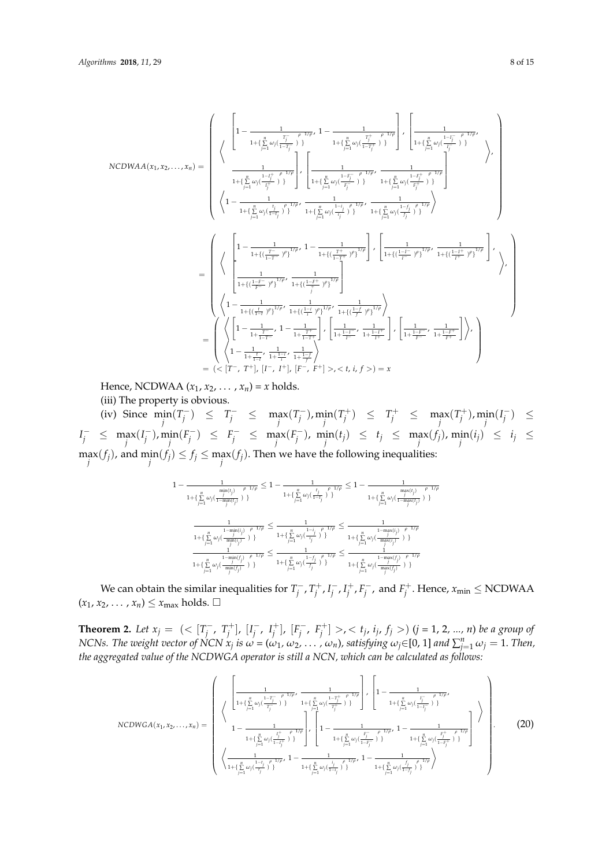$$
\text{NCDWAA}(x_1, x_2, \ldots, x_n) = \left(\begin{array}{c} \left\{1-\frac{1}{1+\{\sum\limits_{j=1}^n\omega_j(\frac{T_j}{1-T_j})\}}\right\} & \left\{\frac{1}{1+\{\sum\limits_{j=1}^n\omega_j(\frac{T_j}{1-T_j^+})\}}\right\} & \left\{\frac{1}{1+\{\sum\limits_{j=1}^n\omega_j(\frac{1-T_j^+}{T_j^+})\}}\right\} \end{array}\right),
$$
\n
$$
\text{NCDWAA}(x_1, x_2, \ldots, x_n) = \left(\begin{array}{c} \left\{1-\frac{1}{1+\{\sum\limits_{j=1}^n\omega_j(\frac{1-T_j^+}{T_j^+})\}}\right\} & \left\{\frac{1}{1+\{\sum\limits_{j=1}^n\omega_j(\frac{1-T_j^+}{T_j^+})\}}\right\} & \left\{\frac{1}{1+\{\sum\limits_{j=1}^n\omega_j(\frac{1-T_j^+}{T_j^+})\}}\right\} & \left\{\frac{1}{1+\{\sum\limits_{j=1}^n\omega_j(\frac{1-T_j^+}{T_j^+})\}}\right\} & \left\{\frac{1}{1+\{\sum\limits_{j=1}^n\omega_j(\frac{1}{T_j^+})\}}\right\} & \left\{\frac{1}{1+\{\sum\limits_{j=1}^n\omega_j(\frac{1}{T_j^+})\}}\right\} & \left\{\frac{1}{1+\{\sum\limits_{j=1}^n\omega_j(\frac{1-T_j^+}{T_j^+})\}}\right\} & \left\{\frac{1}{1+\{\frac{1}{1-\gamma}-\gamma\}}\right\} & \left\{\frac{1}{1+\{\frac{1}{1-\gamma}-\gamma\}}\right\} & \left\{\frac{1}{1+\{\frac{1}{1-\gamma}-\gamma\}}\right\} & \left\{\frac{1}{1+\{\frac{1}{1-\gamma}-\gamma\}}\right\} & \left\{\frac{1}{1+\{\frac{1}{1-\gamma}-\gamma\}}\right\} & \left\{\frac{1}{1+\{\frac{1}{1-\gamma}-\gamma\}}\right\} & \left\{\frac{1}{1+\{\frac{1}{1-\gamma}-\gamma\}}\right\} & \left\{\gamma\right\} & \left\{\frac{1}{1+\{\frac{1}{1-\gamma}-\gamma\}}\right\} & \left\{\gamma\right
$$

Hence, NCDWAA  $(x_1, x_2, \ldots, x_n) = x$  holds.

(iii) The property is obvious.

(iv) Since  $\min_{j} (T_j^-)$  $\left( \frac{r}{j} \right) \leq T_j^- \leq \max_j \left( T_j^- \right)$  $\lim_{j} (T_j^+) \leq T_j^+ \leq \max_{j} (T_j^+), \min_{j} (I_j^-)$ *j* ) ≤  $I_j^- \leq \max_j (I_j^-)$  $j$ <sup>-</sup>), m<sub>i</sub>n( $F_j^$  $f_j^-$ ) ≤  $F_j^-$  ≤  $\max_j (F_j^-)$  $f_j$ ; min(*t<sub>j</sub>*)  $\leq f_j \leq \max_j(f_j)$ ,  $\min_j(i_j) \leq i_j \leq j$  $\max_j(f_j)$ , and  $\min_j(f_j) \le f_j \le \max_j(f_j)$ . Then we have the following inequalities:

$$
1 - \frac{1}{1 + \{\sum\limits_{j=1}^n \omega_j (\frac{j}{1-\min(i_j)} + \sum\limits_{j=1}^{j} \omega_j (\frac{k_j}{1-\ell_j})^2\}^2} \leq 1 - \frac{1}{1 + \{\sum\limits_{j=1}^n \omega_j (\frac{k_j}{1-\ell_j})^2\}^2} \leq 1 - \frac{1}{1 + \{\sum\limits_{j=1}^n \omega_j (\frac{j}{1-\max(i_j)} + \sum\limits_{j=1}^{j} \omega_j (\frac{j}{1-\max(i_j)})^2\}^2} \leq \frac{1}{1 + \{\sum\limits_{j=1}^n \omega_j (\frac{1}{\ell_j})^2\}^2} \leq \frac{1}{1 + \{\sum\limits_{j=1}^n \omega_j (\frac{1}{\ell_j})^2\}^2} \leq \frac{1}{1 + \{\sum\limits_{j=1}^n \omega_j (\frac{1}{\ell_j})^2\}^2} \frac{1 - \max(i_j)}{1 + \{\sum\limits_{j=1}^n \omega_j (\frac{1}{\max(i_j)} + \sum\limits_{j=1}^{j} \omega_j (\frac{j}{\ell_j})^2\}^2} \leq \frac{1}{1 + \{\sum\limits_{j=1}^n \omega_j (\frac{j}{\ell_j})^2\}^2} \leq \frac{1}{1 + \{\sum\limits_{j=1}^n \omega_j (\frac{j}{\ell_j})^2\}^2} \leq \frac{1}{1 + \{\sum\limits_{j=1}^n \omega_j (\frac{j}{\ell_j})^2\}^2} \leq \frac{1}{1 + \{\sum\limits_{j=1}^n \omega_j (\frac{j}{\ell_j})^2\}^2} \leq \frac{1}{1 + \{\sum\limits_{j=1}^n \omega_j (\frac{j}{\ell_j})^2\}^2} \leq \frac{1}{1 + \{\sum\limits_{j=1}^n \omega_j (\frac{j}{\ell_j})^2\}^2} \leq \frac{1}{1 + \{\sum\limits_{j=1}^n \omega_j (\frac{j}{\ell_j})^2\}^2} \leq \frac{1}{1 + \{\sum\limits_{j=1}^n \omega_j (\frac{j}{\ell_j})^2\}^2} \leq \frac{1}{1 + \{\sum\limits_{j=1}^n \omega_j (\frac{j}{\ell_j})^2\}^2} \leq \frac{1}{1 + \{\sum\limits_{j=1}^n \omega
$$

We can obtain the similar inequalities for  $T_i^ T_j^+, T_j^+, I_j^ \overline{I}_j^-$ ,  $I_j^+$ ,  $F_j^$  $f_j^{\text{-}}$ , and  $F_j^{\text{+}}$ . Hence,  $x_{\text{min}} \leq \text{NCDWAA}$  $(x_1, x_2, \ldots, x_n) \leq x_{\text{max}}$  holds.  $\square$ 

**Theorem 2.** *Let*  $x_j = \left( \langle \Gamma_j \rangle \right)$  $\left[T_{j}^{-}, T_{j}^{+}\right], \left[I_{j}^{-}\right]$  $\left[ \begin{matrix} - & 1 \\ j & \end{matrix} \right], \left[ \begin{matrix} F_j^- \\ f_j \end{matrix} \right]$ *j* , *F* + *j* ] >, < *t<sup>j</sup>* , *ij* , *f<sup>j</sup>* >) (*j =* 1, 2*, ..., n*) *be a group of* NCNs. The weight vector of NCN  $x_j$  is  $\omega=(\omega_1,\,\omega_2,\,\ldots\,,\,\omega_n)$ , satisfying  $\omega_j{\in}[0,1]$  and  $\sum_{j=1}^n\omega_j=1.$  Then, *the aggregated value of the NCDWGA operator is still a NCN, which can be calculated as follows:*

$$
NCDWGA(x_1, x_2,..., x_n) = \begin{pmatrix} \begin{pmatrix} \frac{1}{1 + \left(\frac{n}{\sum}\omega_j(\frac{1 - T_j - \rho}{T_j})\right)} & \frac{1}{1 + \left(\frac{n}{\sum}\omega_j(\frac{1 - T_j + \rho}{T_j})\right)} \\ \frac{1}{1 + \left(\frac{n}{\sum}\omega_j(\frac{1 - T_j - \rho}{T_j})\right)} & \frac{1}{1 + \left(\frac{n}{\sum}\omega_j(\frac{1 - T_j + \rho}{T_j})\right)} \end{pmatrix} & \begin{pmatrix} \frac{1}{1 - \frac{1}{1 + \left(\frac{n}{\sum}\omega_j(\frac{1 - T_j - \rho}{T_j})\right)} \\ \frac{1}{1 + \left(\frac{n}{\sum}\omega_j(\frac{1 - T_j - \rho}{T_j})\right)} \end{pmatrix} & \begin{pmatrix} \frac{1}{1 - \frac{1}{1 + \left(\frac{n}{\sum}\omega_j(\frac{F_j - \rho}{T_j})\right)} & \frac{1}{1 + \left(\frac{n}{\sum}\omega_j(\frac{F_j + \rho}{T_j + \rho})\right)} \\ \frac{1}{1 + \left(\frac{n}{\sum}\omega_j(\frac{1 - T_j - \rho}{T_j})\right)} & \frac{1}{1 + \left(\frac{n}{\sum}\omega_j(\frac{1 - T_j - \rho}{T_j})\right)} \end{pmatrix} & (20)
$$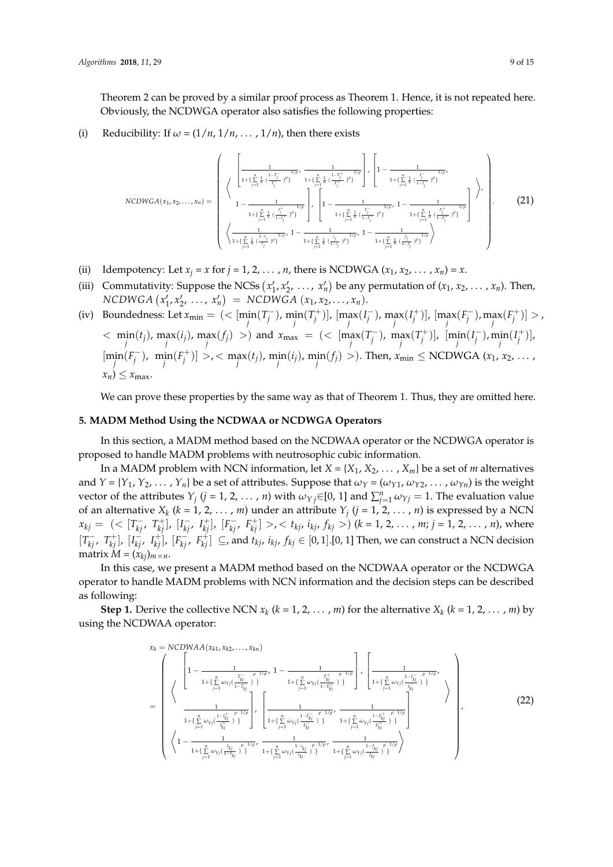Theorem 2 can be proved by a similar proof process as Theorem 1. Hence, it is not repeated here. Obviously, the NCDWGA operator also satisfies the following properties:

(i) Reducibility: If  $\omega = (1/n, 1/n, \ldots, 1/n)$ , then there exists

$$
NCDWGA(x_1, x_2, ..., x_n) = \begin{pmatrix} \left\{ \frac{1}{1 + \left(\frac{y}{j-1} \frac{1}{n} \left(\frac{1-\frac{T_j}{T_j}}{T_j}\right)^{p}\right\}^{1/p} , \frac{1}{1 + \left(\frac{y}{j-1} \frac{1}{n} \left(\frac{1-\frac{T_j}{T_j}}{T_j}\right)^{p}\right\}^{1/p}} \right\} , \left[ 1 - \frac{1}{1 + \left(\frac{y}{j-1} \frac{1}{n} \left(\frac{1-\frac{T_j}{T_j}}{1-\frac{T_j}{T_j}}\right)^{p}\right\}^{1/p}} \right] \right\} \\ 1 - \frac{1}{1 + \left\{\frac{y}{j-1} \frac{1}{n} \left(\frac{1}{1-\frac{1}{j}}\right)^{p}\right\}^{1/p}} \left\} , \left[ 1 - \frac{1}{1 + \left(\frac{y}{j-1} \frac{1}{n} \left(\frac{1-\frac{T_j}{T_j}}{1-\frac{T_j}{T_j}}\right)^{p}\right)^{1/p}} , 1 - \frac{1}{1 + \left(\frac{y}{j-1} \frac{1}{n} \left(\frac{1-\frac{T_j}{T_j}}{1-\frac{T_j}{T_j}}\right)^{p}\right)} \right\} \right\} \cdot \left[ (21)
$$

- (ii) Idempotency: Let  $x_j = x$  for  $j = 1, 2, \ldots, n$ , there is NCDWGA  $(x_1, x_2, \ldots, x_n) = x$ .
- (iii) Commutativity: Suppose the NCSs  $(x'_1, x'_2, \ldots, x'_n)$  be any permutation of  $(x_1, x_2, \ldots, x_n)$ . Then,  $NCDWGA(x'_1, x'_2, ..., x'_n) = NCDWGA(x_1, x_2, ..., x_n).$  $1'$ <sup> $\lambda$ </sup>2
- (iv) Boundedness: Let  $x_{\text{min}} = \left( \langle \min_j (T_j \frac{1}{n_j}) \rangle \right)$  $\lim_{j}$  (*T*<sub>j</sub><sup>+</sup>)],  $\lim_{j}$  (*I*<sub>j</sub><sup>-</sup>)  $\int_{j}^{-1}$ , max $(I_j^{+})$ ],  $\left[\max_{j} (F_j^{-})\right]$  $\lim_{j}$  (*F*<sup>+</sup>)] > ,  $\langle f, g \rangle = \lim_{j} (f_j), \max_{j} (f_j), \max_{j} (f_j) > 0$  and  $x_{\text{max}} = \sum_{j} (f_j - f_j)$  $j^{\text{-}}$ ), max $(T_j^+)$ ],  $[\min_j(I_j^-)]$  $\min_j(I_j^+)]$ ,  $\left[\min_j(F_j^{-}\right]$  $\lim_{j}$   $(f_j^+)$  >, < max $(t_j)$ ,  $\min_j(i_j)$ ,  $\lim_{j} (f_j)$  >). Then,  $x_{\min}$   $\leq$  NCDWGA  $(x_1, x_2, \ldots, x_n)$  $x_n$ )  $\leq x_{\text{max}}$ .

We can prove these properties by the same way as that of Theorem 1. Thus, they are omitted here.

#### <span id="page-8-0"></span>**5. MADM Method Using the NCDWAA or NCDWGA Operators**

In this section, a MADM method based on the NCDWAA operator or the NCDWGA operator is proposed to handle MADM problems with neutrosophic cubic information.

In a MADM problem with NCN information, let  $X = \{X_1, X_2, \ldots, X_m\}$  be a set of *m* alternatives and  $Y = \{Y_1, Y_2, \dots, Y_n\}$  be a set of attributes. Suppose that  $\omega_Y = (\omega_{Y1}, \omega_{Y2}, \dots, \omega_{Yn})$  is the weight vector of the attributes  $Y_j$  ( $j = 1, 2, ..., n$ ) with  $\omega_{Yj} \in [0, 1]$  and  $\sum_{j=1}^n \omega_{Yj} = 1$ . The evaluation value of an alternative  $X_k$  ( $k = 1, 2, ..., m$ ) under an attribute  $Y_j$  ( $j = 1, 2, ..., n$ ) is expressed by a NCN  $x_{kj} = ( \langle [T_{kj}^-, T_{kj}^+], [I_{kj}^-, I_{kj}^+], [F_{kj}^-, F_{kj}^+] \rangle, \langle t_{kj}, t_{kj}, t_{kj} \rangle )$   $(k = 1, 2, ..., m; j = 1, 2, ..., n)$ , where  $[T_{kj}^-, T_{kj}^+]$ ,  $[I_{kj}^-, I_{kj}^+]$ ,  $[F_{kj}^-, F_{kj}^+] \subseteq$ , and  $t_{kj}$ ,  $i_{kj}$ ,  $f_{kj} \in [0,1]$ . [0, 1] Then, we can construct a NCN decision matrix  $M = (x_{kj})_{m \times n}$ .

In this case, we present a MADM method based on the NCDWAA operator or the NCDWGA operator to handle MADM problems with NCN information and the decision steps can be described as following:

**Step 1.** Derive the collective NCN  $x_k$  ( $k = 1, 2, ..., m$ ) for the alternative  $X_k$  ( $k = 1, 2, ..., m$ ) by using the NCDWAA operator:

$$
x_{k} = NCDWAA(x_{k1}, x_{k2},...,x_{kn})
$$
\n
$$
= \begin{pmatrix}\n\left\{\n\begin{pmatrix}\n1 - \frac{1}{1 + \left\{\sum_{j=1}^{n} \omega_{Yj} \left(\frac{T_{kj}^{+}}{1 - T_{kj}}\right)\right\}}^{1/\rho}, 1 - \frac{1}{1 + \left\{\sum_{j=1}^{n} \omega_{Yj} \left(\frac{T_{kj}^{+}}{1 - T_{kj}^{+}}\right)\right\}}\n\end{pmatrix}, \begin{bmatrix}\n\frac{1}{1 + \left\{\sum_{j=1}^{n} \omega_{Yj} \left(\frac{1 - I_{kj}^{-}}{1 - I_{kj}}\right)\right\}}^{1/\rho}, \\
\frac{1}{1 + \left\{\sum_{j=1}^{n} \omega_{Yj} \left(\frac{1 - I_{kj}^{+}}{I_{kj}^{+}}\right)\right\}}\n\end{bmatrix}, \begin{bmatrix}\n\frac{1}{1 + \left\{\sum_{j=1}^{n} \omega_{Yj} \left(\frac{1 - I_{kj}^{-}}{I_{kj}^{-}}\right)\right\}}^{1/\rho}, \frac{1}{1 + \left\{\sum_{j=1}^{n} \omega_{Yj} \left(\frac{1 - I_{kj}^{+}}{I_{kj}^{-}}\right)\right\}}^{1/\rho}\n\end{bmatrix}\n\left\{\n1 - \frac{1}{1 + \left\{\sum_{j=1}^{n} \omega_{Yj} \left(\frac{1 + I_{kj}^{-}}{1 - I_{kj}^{-}}\right)\right\}}^{1/\rho}, \frac{1}{1 + \left\{\sum_{j=1}^{n} \omega_{Yj} \left(\frac{1 - I_{kj}^{-}}{I_{kj}^{-}}\right)\right\}}^{1/\rho}, \frac{1}{1 + \left\{\sum_{j=1}^{n} \omega_{Yj} \left(\frac{1 - I_{kj}^{-}}{I_{kj}^{-}}\right)\right\}}^{1/\rho}\n\end{pmatrix},
$$
\n(22)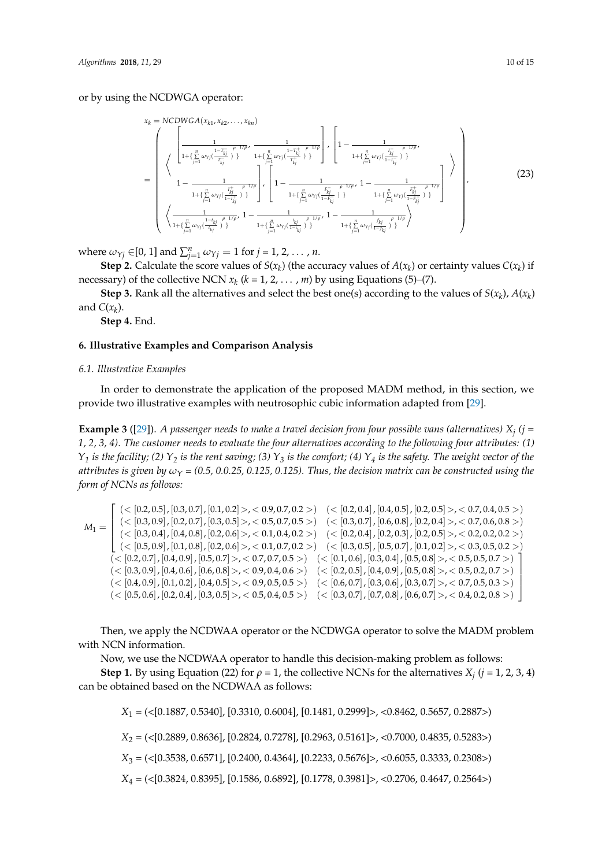or by using the NCDWGA operator:

$$
x_{k} = NCDWGA(x_{k1}, x_{k2},...,x_{kn})
$$
\n
$$
= \begin{pmatrix}\n\left[\frac{1}{1 + \left(\sum_{j=1}^{n} \omega_{Yj} \left(\frac{1 - T_{kj}}{T_{kj}}\right)^{\rho - 1/\rho}\right)} \frac{1}{1 + \left(\sum_{j=1}^{n} \omega_{Yj} \left(\frac{1 - T_{kj}^{+}}{T_{kj}^{+}}\right)^{\rho - 1/\rho}\right)} \right], \quad \left[1 - \frac{1}{1 + \left(\sum_{j=1}^{n} \omega_{Yj} \left(\frac{I_{kj}^{-}}{1 - I_{kj}^{-}}\right)\right)}\right] \\
1 - \frac{1}{1 + \left(\sum_{j=1}^{n} \omega_{Yj} \left(\frac{I_{kj}^{+}}{1 - I_{kj}^{-}}\right)^{\rho - 1/\rho}\right)} \right], \quad \left[1 - \frac{1}{1 + \left(\sum_{j=1}^{n} \omega_{Yj} \left(\frac{I_{kj}^{-}}{1 - I_{kj}^{-}}\right)^{\rho - 1/\rho}\right)} \right], \quad \left[1 - \frac{1}{1 + \left(\sum_{j=1}^{n} \omega_{Yj} \left(\frac{I_{kj}^{-}}{1 - I_{kj}^{-}}\right)^{\rho - 1/\rho}\right)}\right], \quad \left[1 - \frac{1}{1 + \left(\sum_{j=1}^{n} \omega_{Yj} \left(\frac{I_{kj}^{-}}{1 - I_{kj}^{-}}\right)^{\rho - 1/\rho}\right)} \right].\n\left\{\n\left(\frac{1}{1 + \left(\sum_{j=1}^{n} \omega_{Yj} \left(\frac{I_{kj}^{-}}{1 - I_{kj}^{-}}\right)^{\rho - 1/\rho}\right)} \frac{1}{1 + \left(\sum_{j=1}^{n} \omega_{Yj} \left(\frac{I_{kj}^{-}}{1 - I_{kj}^{-}}\right)^{\rho - 1/\rho}\right)} \right].\n\end{pmatrix},\n\tag{23}
$$

where  $\omega_{Yj} \in [0, 1]$  and  $\sum_{j=1}^{n} \omega_{Yj} = 1$  for  $j = 1, 2, \ldots, n$ .

**Step 2.** Calculate the score values of  $S(x_k)$  (the accuracy values of  $A(x_k)$  or certainty values  $C(x_k)$  if necessary) of the collective NCN  $x_k$  ( $k = 1, 2, ..., m$ ) by using Equations (5)–(7).

**Step 3.** Rank all the alternatives and select the best one(s) according to the values of  $S(x_k)$ ,  $A(x_k)$ and  $C(x_k)$ .

**Step 4.** End.

#### <span id="page-9-0"></span>**6. Illustrative Examples and Comparison Analysis**

#### *6.1. Illustrative Examples*

In order to demonstrate the application of the proposed MADM method, in this section, we provide two illustrative examples with neutrosophic cubic information adapted from [\[29\]](#page-13-18).

**Example 3** ([\[29\]](#page-13-18)). *A passenger needs to make a travel decision from four possible vans (alternatives) X<sup>j</sup> (j = 1, 2, 3, 4). The customer needs to evaluate the four alternatives according to the following four attributes: (1) Y<sup>1</sup> is the facility; (2) Y<sup>2</sup> is the rent saving; (3) Y<sup>3</sup> is the comfort; (4) Y<sup>4</sup> is the safety. The weight vector of the attributes is given by*  $\omega_Y$  = (0.5, 0.0.25, 0.125, 0.125). Thus, the decision matrix can be constructed using the *form of NCNs as follows:*

$$
M_1 = \begin{bmatrix} \langle & [0.2, 0.5], [0.3, 0.7], [0.1, 0.2] > < 0.9, 0.7, 0.2 > \rangle & \langle & [0.2, 0.4], [0.4, 0.5], [0.2, 0.5] > < 0.7, 0.4, 0.5 > \rangle \\ \langle & [0.3, 0.9], [0.2, 0.7], [0.3, 0.5] > < 0.5, 0.7, 0.5 > \rangle & \langle & [0.3, 0.7], [0.6, 0.8], [0.2, 0.4] > < 0.7, 0.6, 0.8 > \rangle \\ \langle & [0.3, 0.4], [0.4, 0.8], [0.2, 0.6] > < 0.1, 0.4, 0.2 > \rangle & \langle & [0.2, 0.4], [0.2, 0.3], [0.2, 0.5] > < 0.2, 0.2, 0.2 > \rangle \\ \langle & [0.5, 0.9], [0.1, 0.8], [0.2, 0.6] > < 0.1, 0.7, 0.2 > \rangle & \langle & [0.3, 0.5], [0.5, 0.7], [0.1, 0.2] > < 0.3, 0.5, 0.2 > \rangle \\ \langle & [0.2, 0.7], [0.4, 0.9], [0.5, 0.7] > < 0.7, 0.7, 0.5 > \rangle & \langle & [0.1, 0.6], [0.3, 0.4], [0.5, 0.8] > < 0.5, 0.5, 0.7 > \rangle \\ \langle & [0.4, 0.9], [0.4, 0.6], [0.4, 0.5] > < 0.9, 0.4, 0.6 > \rangle & \langle & [0.2, 0.5], [0.4, 0.9], [0.3, 0.7] > < 0.7, 0.5, 0.3 > \rangle \\ \langle &
$$

Then, we apply the NCDWAA operator or the NCDWGA operator to solve the MADM problem with NCN information.

Now, we use the NCDWAA operator to handle this decision-making problem as follows:

**Step 1.** By using Equation (22) for  $\rho = 1$ , the collective NCNs for the alternatives  $X_j$  ( $j = 1, 2, 3, 4$ ) can be obtained based on the NCDWAA as follows:

*X*<sup>1</sup> = (<[0.1887, 0.5340], [0.3310, 0.6004], [0.1481, 0.2999]>, <0.8462, 0.5657, 0.2887>)

*X*<sup>2</sup> = (<[0.2889, 0.8636], [0.2824, 0.7278], [0.2963, 0.5161]>, <0.7000, 0.4835, 0.5283>)

*X*<sub>3</sub> = (<[0.3538, 0.6571], [0.2400, 0.4364], [0.2233, 0.5676]>, <0.6055, 0.3333, 0.2308>)

*X*<sup>4</sup> = (<[0.3824, 0.8395], [0.1586, 0.6892], [0.1778, 0.3981]>, <0.2706, 0.4647, 0.2564>)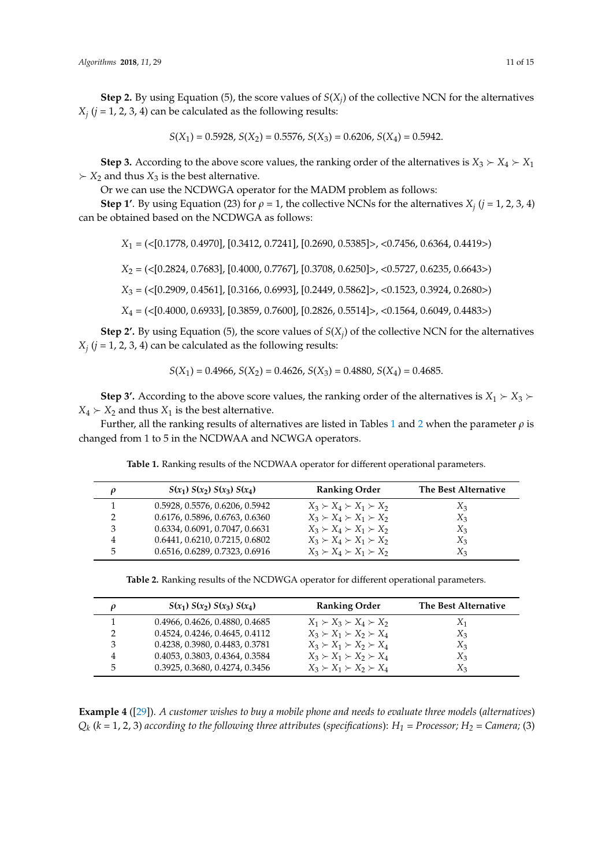**Step 2.** By using Equation (5), the score values of  $S(X_j)$  of the collective NCN for the alternatives  $X_j$  ( $j$  = 1, 2, 3, 4) can be calculated as the following results:

$$
S(X_1) = 0.5928
$$
,  $S(X_2) = 0.5576$ ,  $S(X_3) = 0.6206$ ,  $S(X_4) = 0.5942$ .

**Step 3.** According to the above score values, the ranking order of the alternatives is  $X_3 \succ X_4 \succ X_1$  $\Sigma$  *X*<sub>2</sub> and thus *X*<sub>3</sub> is the best alternative.

Or we can use the NCDWGA operator for the MADM problem as follows:

**Step 1'**. By using Equation (23) for  $\rho = 1$ , the collective NCNs for the alternatives  $X_j$  ( $j = 1, 2, 3, 4$ ) can be obtained based on the NCDWGA as follows:

*X*<sup>1</sup> = (<[0.1778, 0.4970], [0.3412, 0.7241], [0.2690, 0.5385]>, <0.7456, 0.6364, 0.4419>)

*X*<sup>2</sup> = (<[0.2824, 0.7683], [0.4000, 0.7767], [0.3708, 0.6250]>, <0.5727, 0.6235, 0.6643>)

*X*<sup>3</sup> = (<[0.2909, 0.4561], [0.3166, 0.6993], [0.2449, 0.5862]>, <0.1523, 0.3924, 0.2680>)

*X*<sup>4</sup> = (<[0.4000, 0.6933], [0.3859, 0.7600], [0.2826, 0.5514]>, <0.1564, 0.6049, 0.4483>)

**Step 2'.** By using Equation (5), the score values of  $S(X_j)$  of the collective NCN for the alternatives  $X_j$  ( $j = 1, 2, 3, 4$ ) can be calculated as the following results:

$$
S(X_1) = 0.4966
$$
,  $S(X_2) = 0.4626$ ,  $S(X_3) = 0.4880$ ,  $S(X_4) = 0.4685$ .

**Step 3'.** According to the above score values, the ranking order of the alternatives is  $X_1 \succ X_3$   $\succ$  $X_4 \succ X_2$  and thus  $X_1$  is the best alternative.

<span id="page-10-0"></span>Further, all the ranking results of alternatives are listed in Tables [1](#page-10-0) and [2](#page-10-1) when the parameter *ρ* is changed from 1 to 5 in the NCDWAA and NCWGA operators.

|   | $S(x_1) S(x_2) S(x_3) S(x_4)$  | <b>Ranking Order</b>                | The Best Alternative |
|---|--------------------------------|-------------------------------------|----------------------|
|   | 0.5928, 0.5576, 0.6206, 0.5942 | $X_3 \succ X_4 \succ X_1 \succ X_2$ | $X_3$                |
|   | 0.6176, 0.5896, 0.6763, 0.6360 | $X_3 \succ X_4 \succ X_1 \succ X_2$ | $X_3$                |
| 3 | 0.6334, 0.6091, 0.7047, 0.6631 | $X_3 \succ X_4 \succ X_1 \succ X_2$ | $X_3$                |
| 4 | 0.6441, 0.6210, 0.7215, 0.6802 | $X_3 \succ X_4 \succ X_1 \succ X_2$ | $X_3$                |
|   | 0.6516, 0.6289, 0.7323, 0.6916 | $X_3 \succ X_4 \succ X_1 \succ X_2$ | X3                   |

**Table 1.** Ranking results of the NCDWAA operator for different operational parameters.

**Table 2.** Ranking results of the NCDWGA operator for different operational parameters.

<span id="page-10-1"></span>

|    | $S(x_1) S(x_2) S(x_3) S(x_4)$  | <b>Ranking Order</b>                | The Best Alternative |
|----|--------------------------------|-------------------------------------|----------------------|
|    | 0.4966, 0.4626, 0.4880, 0.4685 | $X_1 \succ X_3 \succ X_4 \succ X_2$ | $X_1$                |
|    | 0.4524, 0.4246, 0.4645, 0.4112 | $X_3 \succ X_1 \succ X_2 \succ X_4$ | $X_3$                |
| 3  | 0.4238, 0.3980, 0.4483, 0.3781 | $X_3 \succ X_1 \succ X_2 \succ X_4$ | $X_3$                |
|    | 0.4053, 0.3803, 0.4364, 0.3584 | $X_3 \succ X_1 \succ X_2 \succ X_4$ | $X_3$                |
| 5. | 0.3925, 0.3680, 0.4274, 0.3456 | $X_3 \succ X_1 \succ X_2 \succ X_4$ | $X_3$                |

**Example 4** ([\[29\]](#page-13-18)). *A customer wishes to buy a mobile phone and needs to evaluate three models* (*alternatives*) *Qk* (*k =* 1, 2, 3) *according to the following three attributes* (*specifications*): *H<sup>1</sup> = Processor; H<sup>2</sup> = Camera;* (3)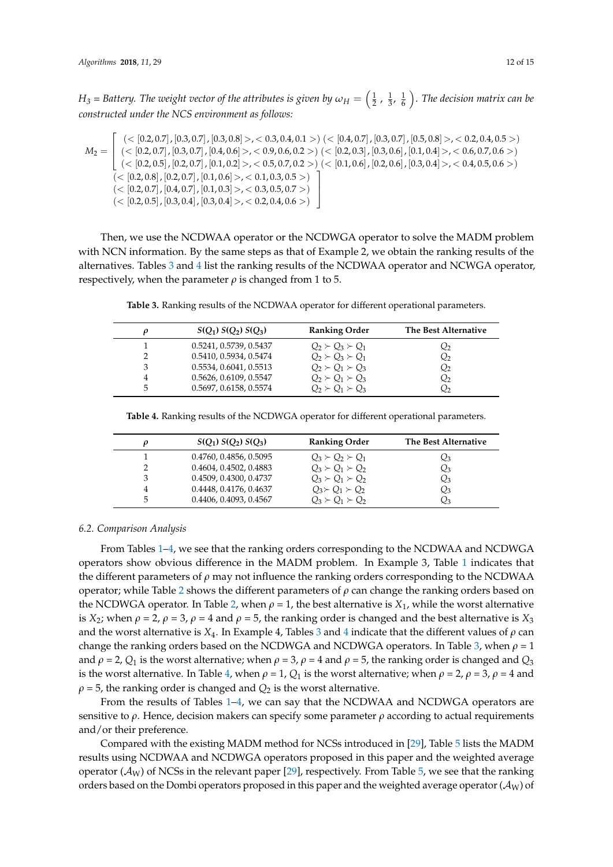$H_3$  = Battery. The weight vector of the attributes is given by  $\omega_H=\left(\frac12$  ,  $\frac13$ ,  $\frac16\right)$ . The decision matrix can be *constructed under the NCS environment as follows:*

$$
M_2 = \left[\begin{array}{c} (<[0.2, 0.7], [0.3, 0.7], [0.3, 0.8]>, <0.3, 0.4, 0.1>) \ (<[0.4, 0.7], [0.3, 0.7], [0.5, 0.8]>, <0.2, 0.4, 0.5>) \\ (<[0.2, 0.7], [0.3, 0.7], [0.4, 0.6]>, <0.9, 0.6, 0.2>) \ (<[0.2, 0.3], [0.3, 0.6], [0.1, 0.4]>, <0.6, 0.7, 0.6>) \\ (<[0.2, 0.5], [0.2, 0.7], [0.1, 0.2]>, <0.5, 0.7, 0.2>) \ (<[0.1, 0.6], [0.2, 0.6], [0.3, 0.4]>, <0.4, 0.5, 0.6>) \\ (<[0.2, 0.8], [0.2, 0.7], [0.1, 0.6]>, <0.1, 0.3, 0.5>) \ \ (<[0.2, 0.7], [0.4, 0.7], [0.1, 0.3]>, <0.3, 0.5, 0.7>) \ \ (<[0.2, 0.5], [0.3, 0.4], [0.3, 0.4]>, <0.2, 0.4, 0.6>) \ \end{array}\right]
$$

Then, we use the NCDWAA operator or the NCDWGA operator to solve the MADM problem with NCN information. By the same steps as that of Example 2, we obtain the ranking results of the alternatives. Tables [3](#page-11-0) and [4](#page-11-1) list the ranking results of the NCDWAA operator and NCWGA operator, respectively, when the parameter  $\rho$  is changed from 1 to 5.

**Table 3.** Ranking results of the NCDWAA operator for different operational parameters.

<span id="page-11-0"></span>

|   | $S(Q_1) S(Q_2) S(Q_3)$ | <b>Ranking Order</b>      | The Best Alternative |
|---|------------------------|---------------------------|----------------------|
|   | 0.5241, 0.5739, 0.5437 | $Q_2 \succ Q_3 \succ Q_1$ | Q2                   |
|   | 0.5410, 0.5934, 0.5474 | $Q_2 \succ Q_3 \succ Q_1$ | $Q_2$                |
|   | 0.5534, 0.6041, 0.5513 | $Q_2 \succ Q_1 \succ Q_2$ | Q2                   |
|   | 0.5626, 0.6109, 0.5547 | $Q_2 \succ Q_1 \succ Q_3$ | Q2                   |
| 5 | 0.5697, 0.6158, 0.5574 | $O_2 \succ O_1 \succ O_3$ | Ω2                   |

<span id="page-11-1"></span>**Table 4.** Ranking results of the NCDWGA operator for different operational parameters.

|   | $S(Q_1) S(Q_2) S(Q_3)$ | <b>Ranking Order</b>      | The Best Alternative |
|---|------------------------|---------------------------|----------------------|
|   | 0.4760, 0.4856, 0.5095 | $Q_3 \succ Q_2 \succ Q_1$ | Yз                   |
|   | 0.4604, 0.4502, 0.4883 | $Q_3 \succ Q_1 \succ Q_2$ | $\mathcal{Q}_3$      |
|   | 0.4509, 0.4300, 0.4737 | $Q_3 \succ Q_1 \succ Q_2$ | $_{\mathcal{Q}_3}$   |
|   | 0.4448, 0.4176, 0.4637 | $Q_3 \succ Q_1 \succ Q_2$ | $Q_3$                |
| 5 | 0.4406, 0.4093, 0.4567 | $O_3 \succ O_1 \succ O_2$ | Qз                   |

#### *6.2. Comparison Analysis*

From Tables [1–](#page-10-0)[4,](#page-11-1) we see that the ranking orders corresponding to the NCDWAA and NCDWGA operators show obvious difference in the MADM problem. In Example 3, Table [1](#page-10-0) indicates that the different parameters of *ρ* may not influence the ranking orders corresponding to the NCDWAA operator; while Table [2](#page-10-1) shows the different parameters of *ρ* can change the ranking orders based on the NCDWGA operator. In Table [2,](#page-10-1) when  $\rho = 1$ , the best alternative is  $X_1$ , while the worst alternative is *X*<sub>2</sub>; when  $\rho = 2$ ,  $\rho = 3$ ,  $\rho = 4$  and  $\rho = 5$ , the ranking order is changed and the best alternative is *X*<sub>3</sub> and the worst alternative is *X*4. In Example 4, Tables [3](#page-11-0) and [4](#page-11-1) indicate that the different values of *ρ* can change the ranking orders based on the NCDWGA and NCDWGA operators. In Table [3,](#page-11-0) when  $\rho = 1$ and  $\rho = 2$ ,  $Q_1$  is the worst alternative; when  $\rho = 3$ ,  $\rho = 4$  and  $\rho = 5$ , the ranking order is changed and  $Q_3$ is the worst alternative. In Table [4,](#page-11-1) when  $\rho = 1$ ,  $Q_1$  is the worst alternative; when  $\rho = 2$ ,  $\rho = 3$ ,  $\rho = 4$  and  $\rho$  = 5, the ranking order is changed and  $Q_2$  is the worst alternative.

From the results of Tables [1–](#page-10-0)[4,](#page-11-1) we can say that the NCDWAA and NCDWGA operators are sensitive to *ρ*. Hence, decision makers can specify some parameter *ρ* according to actual requirements and/or their preference.

Compared with the existing MADM method for NCSs introduced in [\[29\]](#page-13-18), Table [5](#page-12-8) lists the MADM results using NCDWAA and NCDWGA operators proposed in this paper and the weighted average operator ( $\mathcal{A}_W$ ) of NCSs in the relevant paper [\[29\]](#page-13-18), respectively. From Table [5,](#page-12-8) we see that the ranking orders based on the Dombi operators proposed in this paper and the weighted average operator ( $\mathcal{A}_W$ ) of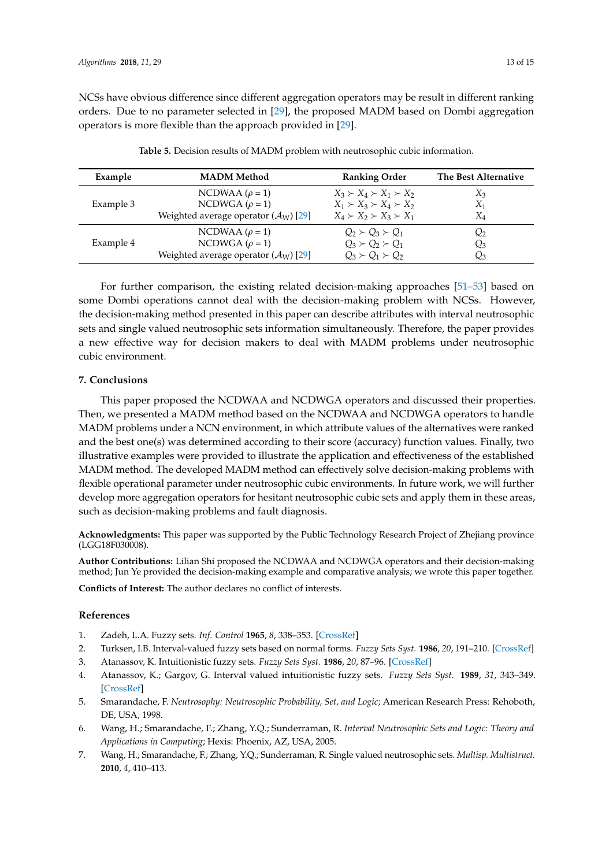<span id="page-12-8"></span>

| Example   | <b>MADM</b> Method                                 | <b>Ranking Order</b>                | The Best Alternative |
|-----------|----------------------------------------------------|-------------------------------------|----------------------|
|           | NCDWAA $(\rho = 1)$                                | $X_3 \succ X_4 \succ X_1 \succ X_2$ | $X_3$                |
| Example 3 | NCDWGA ( $\rho = 1$ )                              | $X_1 \succ X_3 \succ X_4 \succ X_2$ | $X_1$                |
|           | Weighted average operator $(\mathcal{A}_{W})$ [29] | $X_4 \succ X_2 \succ X_3 \succ X_1$ | $\rm\,X_4$           |
|           | NCDWAA $(\rho = 1)$                                | $Q_2 \succ Q_3 \succ Q_1$           | $\mathcal{Q}_2$      |
| Example 4 | NCDWGA ( $\rho = 1$ )                              | $Q_3 \succ Q_2 \succ Q_1$           | $\rm{Q}_3$           |
|           | Weighted average operator $(\mathcal{A}_{W})$ [29] | $O_3 \succ O_1 \succ O_2$           | $Q_3$                |

**Table 5.** Decision results of MADM problem with neutrosophic cubic information.

For further comparison, the existing related decision-making approaches [\[51](#page-14-7)[–53\]](#page-14-9) based on some Dombi operations cannot deal with the decision-making problem with NCSs. However, the decision-making method presented in this paper can describe attributes with interval neutrosophic sets and single valued neutrosophic sets information simultaneously. Therefore, the paper provides a new effective way for decision makers to deal with MADM problems under neutrosophic cubic environment.

## <span id="page-12-7"></span>**7. Conclusions**

This paper proposed the NCDWAA and NCDWGA operators and discussed their properties. Then, we presented a MADM method based on the NCDWAA and NCDWGA operators to handle MADM problems under a NCN environment, in which attribute values of the alternatives were ranked and the best one(s) was determined according to their score (accuracy) function values. Finally, two illustrative examples were provided to illustrate the application and effectiveness of the established MADM method. The developed MADM method can effectively solve decision-making problems with flexible operational parameter under neutrosophic cubic environments. In future work, we will further develop more aggregation operators for hesitant neutrosophic cubic sets and apply them in these areas, such as decision-making problems and fault diagnosis.

**Acknowledgments:** This paper was supported by the Public Technology Research Project of Zhejiang province (LGG18F030008).

**Author Contributions:** Lilian Shi proposed the NCDWAA and NCDWGA operators and their decision-making method; Jun Ye provided the decision-making example and comparative analysis; we wrote this paper together.

**Conflicts of Interest:** The author declares no conflict of interests.

## **References**

- <span id="page-12-0"></span>1. Zadeh, L.A. Fuzzy sets. *Inf. Control* **1965**, *8*, 338–353. [\[CrossRef\]](http://dx.doi.org/10.1016/S0019-9958(65)90241-X)
- <span id="page-12-1"></span>2. Turksen, I.B. Interval-valued fuzzy sets based on normal forms. *Fuzzy Sets Syst.* **1986**, *20*, 191–210. [\[CrossRef\]](http://dx.doi.org/10.1016/0165-0114(86)90077-1)
- <span id="page-12-2"></span>3. Atanassov, K. Intuitionistic fuzzy sets. *Fuzzy Sets Syst.* **1986**, *20*, 87–96. [\[CrossRef\]](http://dx.doi.org/10.1016/S0165-0114(86)80034-3)
- <span id="page-12-3"></span>4. Atanassov, K.; Gargov, G. Interval valued intuitionistic fuzzy sets. *Fuzzy Sets Syst.* **1989**, *31*, 343–349. [\[CrossRef\]](http://dx.doi.org/10.1016/0165-0114(89)90205-4)
- <span id="page-12-4"></span>5. Smarandache, F. *Neutrosophy: Neutrosophic Probability, Set, and Logic*; American Research Press: Rehoboth, DE, USA, 1998.
- <span id="page-12-5"></span>6. Wang, H.; Smarandache, F.; Zhang, Y.Q.; Sunderraman, R. *Interval Neutrosophic Sets and Logic: Theory and Applications in Computing*; Hexis: Phoenix, AZ, USA, 2005.
- <span id="page-12-6"></span>7. Wang, H.; Smarandache, F.; Zhang, Y.Q.; Sunderraman, R. Single valued neutrosophic sets. *Multisp. Multistruct.* **2010**, *4*, 410–413.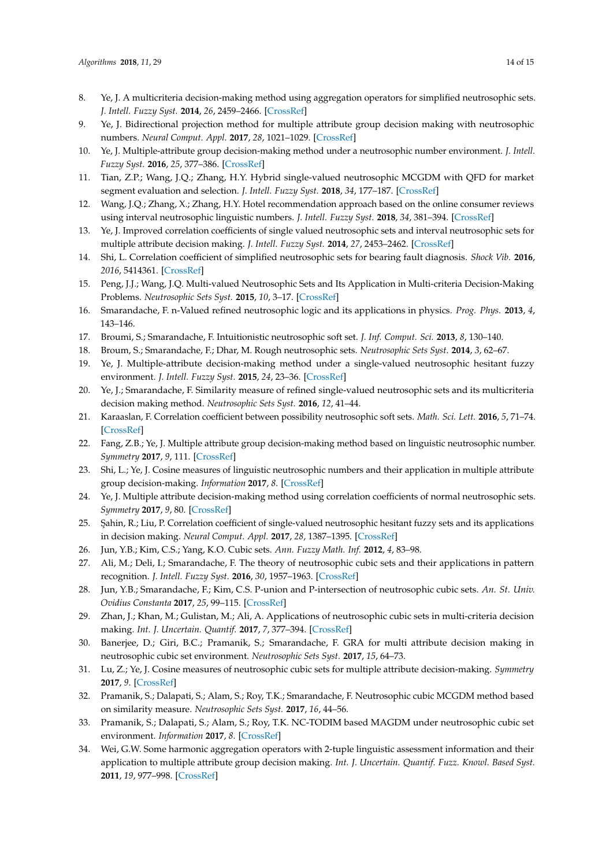- <span id="page-13-0"></span>8. Ye, J. A multicriteria decision-making method using aggregation operators for simplified neutrosophic sets. *J. Intell. Fuzzy Syst.* **2014**, *26*, 2459–2466. [\[CrossRef\]](http://dx.doi.org/10.3233/IFS-130916)
- <span id="page-13-1"></span>9. Ye, J. Bidirectional projection method for multiple attribute group decision making with neutrosophic numbers. *Neural Comput. Appl.* **2017**, *28*, 1021–1029. [\[CrossRef\]](http://dx.doi.org/10.1007/s00521-015-2123-5)
- 10. Ye, J. Multiple-attribute group decision-making method under a neutrosophic number environment. *J. Intell. Fuzzy Syst.* **2016**, *25*, 377–386. [\[CrossRef\]](http://dx.doi.org/10.1515/jisys-2014-0149)
- 11. Tian, Z.P.; Wang, J.Q.; Zhang, H.Y. Hybrid single-valued neutrosophic MCGDM with QFD for market segment evaluation and selection. *J. Intell. Fuzzy Syst.* **2018**, *34*, 177–187. [\[CrossRef\]](http://dx.doi.org/10.3233/JIFS-171055)
- 12. Wang, J.Q.; Zhang, X.; Zhang, H.Y. Hotel recommendation approach based on the online consumer reviews using interval neutrosophic linguistic numbers. *J. Intell. Fuzzy Syst.* **2018**, *34*, 381–394. [\[CrossRef\]](http://dx.doi.org/10.3233/JIFS-171421)
- <span id="page-13-2"></span>13. Ye, J. Improved correlation coefficients of single valued neutrosophic sets and interval neutrosophic sets for multiple attribute decision making. *J. Intell. Fuzzy Syst.* **2014**, *27*, 2453–2462. [\[CrossRef\]](http://dx.doi.org/10.3233/IFS-141215)
- <span id="page-13-3"></span>14. Shi, L. Correlation coefficient of simplified neutrosophic sets for bearing fault diagnosis. *Shock Vib.* **2016**, *2016*, 5414361. [\[CrossRef\]](http://dx.doi.org/10.1155/2016/5414361)
- <span id="page-13-4"></span>15. Peng, J.J.; Wang, J.Q. Multi-valued Neutrosophic Sets and Its Application in Multi-criteria Decision-Making Problems. *Neutrosophic Sets Syst.* **2015**, *10*, 3–17. [\[CrossRef\]](http://dx.doi.org/10.1007/s00521-016-2702-0)
- <span id="page-13-5"></span>16. Smarandache, F. n-Valued refined neutrosophic logic and its applications in physics. *Prog. Phys.* **2013**, *4*, 143–146.
- <span id="page-13-6"></span>17. Broumi, S.; Smarandache, F. Intuitionistic neutrosophic soft set. *J. Inf. Comput. Sci.* **2013**, *8*, 130–140.
- <span id="page-13-7"></span>18. Broum, S.; Smarandache, F.; Dhar, M. Rough neutrosophic sets. *Neutrosophic Sets Syst.* **2014**, *3*, 62–67.
- <span id="page-13-8"></span>19. Ye, J. Multiple-attribute decision-making method under a single-valued neutrosophic hesitant fuzzy environment. *J. Intell. Fuzzy Syst.* **2015**, *24*, 23–36. [\[CrossRef\]](http://dx.doi.org/10.1515/jisys-2014-0001)
- <span id="page-13-9"></span>20. Ye, J.; Smarandache, F. Similarity measure of refined single-valued neutrosophic sets and its multicriteria decision making method. *Neutrosophic Sets Syst.* **2016**, *12*, 41–44.
- <span id="page-13-10"></span>21. Karaaslan, F. Correlation coefficient between possibility neutrosophic soft sets. *Math. Sci. Lett.* **2016**, *5*, 71–74. [\[CrossRef\]](http://dx.doi.org/10.18576/msl/050109)
- <span id="page-13-11"></span>22. Fang, Z.B.; Ye, J. Multiple attribute group decision-making method based on linguistic neutrosophic number. *Symmetry* **2017**, *9*, 111. [\[CrossRef\]](http://dx.doi.org/10.3390/sym9070111)
- <span id="page-13-12"></span>23. Shi, L.; Ye, J. Cosine measures of linguistic neutrosophic numbers and their application in multiple attribute group decision-making. *Information* **2017**, *8*. [\[CrossRef\]](http://dx.doi.org/10.3390/info8040117)
- <span id="page-13-13"></span>24. Ye, J. Multiple attribute decision-making method using correlation coefficients of normal neutrosophic sets. *Symmetry* **2017**, *9*, 80. [\[CrossRef\]](http://dx.doi.org/10.3390/sym9060080)
- <span id="page-13-14"></span>25. ¸Sahin, R.; Liu, P. Correlation coefficient of single-valued neutrosophic hesitant fuzzy sets and its applications in decision making. *Neural Comput. Appl.* **2017**, *28*, 1387–1395. [\[CrossRef\]](http://dx.doi.org/10.1007/s00521-015-2163-x)
- <span id="page-13-15"></span>26. Jun, Y.B.; Kim, C.S.; Yang, K.O. Cubic sets. *Ann. Fuzzy Math. Inf.* **2012**, *4*, 83–98.
- <span id="page-13-16"></span>27. Ali, M.; Deli, I.; Smarandache, F. The theory of neutrosophic cubic sets and their applications in pattern recognition. *J. Intell. Fuzzy Syst.* **2016**, *30*, 1957–1963. [\[CrossRef\]](http://dx.doi.org/10.3233/IFS-151906)
- <span id="page-13-17"></span>28. Jun, Y.B.; Smarandache, F.; Kim, C.S. P-union and P-intersection of neutrosophic cubic sets. *An. St. Univ. Ovidius Constanta* **2017**, *25*, 99–115. [\[CrossRef\]](http://dx.doi.org/10.1515/auom-2017-0009)
- <span id="page-13-18"></span>29. Zhan, J.; Khan, M.; Gulistan, M.; Ali, A. Applications of neutrosophic cubic sets in multi-criteria decision making. *Int. J. Uncertain. Quantif.* **2017**, *7*, 377–394. [\[CrossRef\]](http://dx.doi.org/10.1615/Int.J.UncertaintyQuantification.2017020446)
- <span id="page-13-19"></span>30. Banerjee, D.; Giri, B.C.; Pramanik, S.; Smarandache, F. GRA for multi attribute decision making in neutrosophic cubic set environment. *Neutrosophic Sets Syst.* **2017**, *15*, 64–73.
- <span id="page-13-20"></span>31. Lu, Z.; Ye, J. Cosine measures of neutrosophic cubic sets for multiple attribute decision-making. *Symmetry* **2017**, *9*. [\[CrossRef\]](http://dx.doi.org/10.3390/sym9070121)
- <span id="page-13-21"></span>32. Pramanik, S.; Dalapati, S.; Alam, S.; Roy, T.K.; Smarandache, F. Neutrosophic cubic MCGDM method based on similarity measure. *Neutrosophic Sets Syst.* **2017**, *16*, 44–56.
- <span id="page-13-22"></span>33. Pramanik, S.; Dalapati, S.; Alam, S.; Roy, T.K. NC-TODIM based MAGDM under neutrosophic cubic set environment. *Information* **2017**, *8*. [\[CrossRef\]](http://dx.doi.org/10.3390/info8040149)
- <span id="page-13-23"></span>34. Wei, G.W. Some harmonic aggregation operators with 2-tuple linguistic assessment information and their application to multiple attribute group decision making. *Int. J. Uncertain. Quantif. Fuzz. Knowl. Based Syst.* **2011**, *19*, 977–998. [\[CrossRef\]](http://dx.doi.org/10.1142/S0218488511007428)